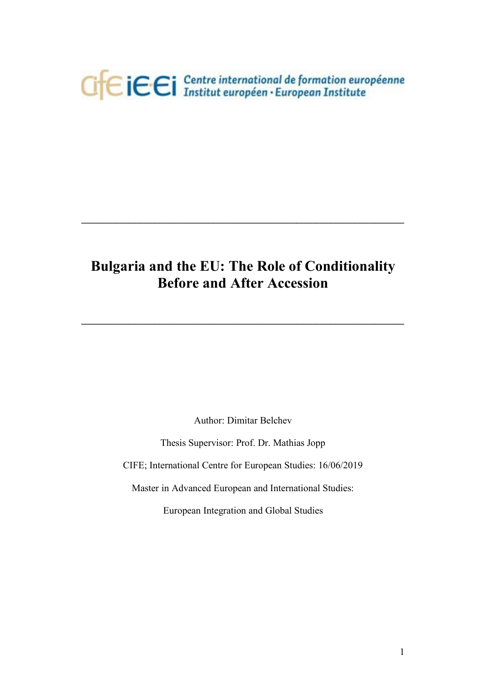

# **Bulgaria and the EU: The Role of Conditionality Before and After Accession**

 $\mathcal{L} = \{ \mathcal{L} \mathcal{L} \mathcal{L} \mathcal{L} \mathcal{L} \mathcal{L} \mathcal{L} \mathcal{L} \mathcal{L} \mathcal{L} \mathcal{L} \mathcal{L} \mathcal{L} \mathcal{L} \mathcal{L} \mathcal{L} \mathcal{L} \mathcal{L} \mathcal{L} \mathcal{L} \mathcal{L} \mathcal{L} \mathcal{L} \mathcal{L} \mathcal{L} \mathcal{L} \mathcal{L} \mathcal{L} \mathcal{L} \mathcal{L} \mathcal{L} \mathcal{L} \mathcal{L} \mathcal{L} \mathcal{L} \$ 

 $\mathcal{L} = \{ \mathcal{L} \mathcal{L} \mathcal{L} \mathcal{L} \mathcal{L} \mathcal{L} \mathcal{L} \mathcal{L} \mathcal{L} \mathcal{L} \mathcal{L} \mathcal{L} \mathcal{L} \mathcal{L} \mathcal{L} \mathcal{L} \mathcal{L} \mathcal{L} \mathcal{L} \mathcal{L} \mathcal{L} \mathcal{L} \mathcal{L} \mathcal{L} \mathcal{L} \mathcal{L} \mathcal{L} \mathcal{L} \mathcal{L} \mathcal{L} \mathcal{L} \mathcal{L} \mathcal{L} \mathcal{L} \mathcal{L} \$ 

Author: Dimitar Belchev

Thesis Supervisor: Prof. Dr. Mathias Jopp

CIFE; International Centre for European Studies: 16/06/2019

Master in Advanced European and International Studies:

European Integration and Global Studies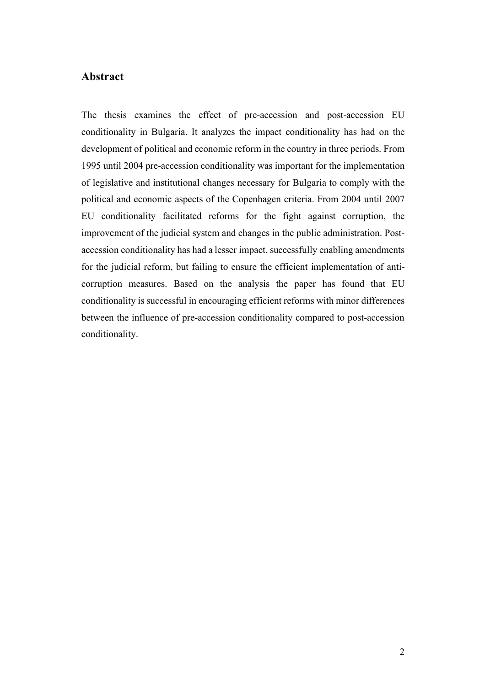### **Abstract**

The thesis examines the effect of pre-accession and post-accession EU conditionality in Bulgaria. It analyzes the impact conditionality has had on the development of political and economic reform in the country in three periods. From 1995 until 2004 pre-accession conditionality was important for the implementation of legislative and institutional changes necessary for Bulgaria to comply with the political and economic aspects of the Copenhagen criteria. From 2004 until 2007 EU conditionality facilitated reforms for the fight against corruption, the improvement of the judicial system and changes in the public administration. Postaccession conditionality has had a lesser impact, successfully enabling amendments for the judicial reform, but failing to ensure the efficient implementation of anticorruption measures. Based on the analysis the paper has found that EU conditionality is successful in encouraging efficient reforms with minor differences between the influence of pre-accession conditionality compared to post-accession conditionality.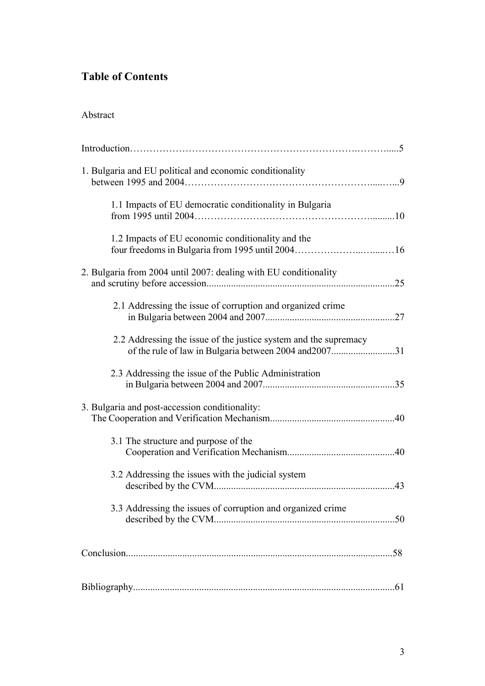## **Table of Contents**

| 1. Bulgaria and EU political and economic conditionality                                                                   |     |
|----------------------------------------------------------------------------------------------------------------------------|-----|
| 1.1 Impacts of EU democratic conditionality in Bulgaria                                                                    |     |
| 1.2 Impacts of EU economic conditionality and the                                                                          |     |
| 2. Bulgaria from 2004 until 2007: dealing with EU conditionality                                                           | .25 |
| 2.1 Addressing the issue of corruption and organized crime                                                                 |     |
| 2.2 Addressing the issue of the justice system and the supremacy<br>of the rule of law in Bulgaria between 2004 and 200731 |     |
| 2.3 Addressing the issue of the Public Administration                                                                      |     |
| 3. Bulgaria and post-accession conditionality:                                                                             |     |
| 3.1 The structure and purpose of the                                                                                       |     |
| 3.2 Addressing the issues with the judicial system                                                                         |     |
| 3.3 Addressing the issues of corruption and organized crime                                                                |     |
|                                                                                                                            |     |
|                                                                                                                            |     |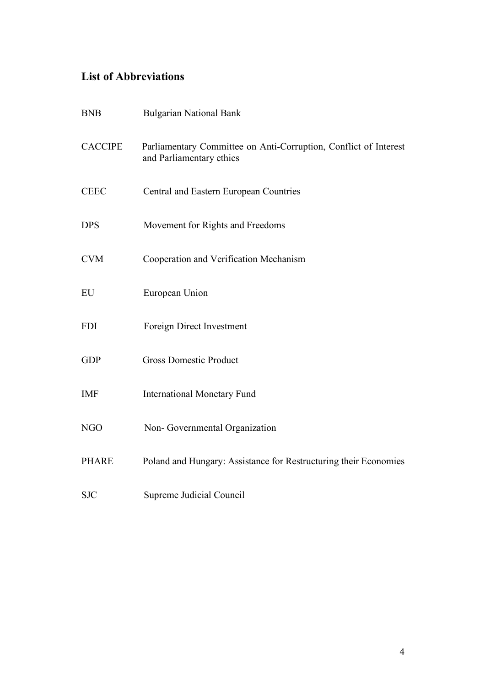## **List of Abbreviations**

| <b>BNB</b>     | <b>Bulgarian National Bank</b>                                                               |
|----------------|----------------------------------------------------------------------------------------------|
| <b>CACCIPE</b> | Parliamentary Committee on Anti-Corruption, Conflict of Interest<br>and Parliamentary ethics |
| <b>CEEC</b>    | Central and Eastern European Countries                                                       |
| <b>DPS</b>     | Movement for Rights and Freedoms                                                             |
| <b>CVM</b>     | Cooperation and Verification Mechanism                                                       |
| EU             | European Union                                                                               |
| <b>FDI</b>     | Foreign Direct Investment                                                                    |
| <b>GDP</b>     | <b>Gross Domestic Product</b>                                                                |
| <b>IMF</b>     | <b>International Monetary Fund</b>                                                           |
| <b>NGO</b>     | Non-Governmental Organization                                                                |
| <b>PHARE</b>   | Poland and Hungary: Assistance for Restructuring their Economies                             |
| <b>SJC</b>     | Supreme Judicial Council                                                                     |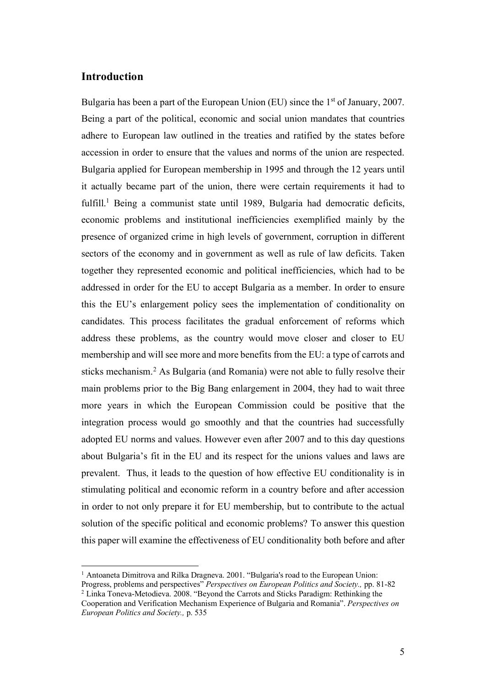### **Introduction**

Bulgaria has been a part of the European Union (EU) since the 1<sup>st</sup> of January, 2007. Being a part of the political, economic and social union mandates that countries adhere to European law outlined in the treaties and ratified by the states before accession in order to ensure that the values and norms of the union are respected. Bulgaria applied for European membership in 1995 and through the 12 years until it actually became part of the union, there were certain requirements it had to fulfill.<sup>1</sup> Being a communist state until 1989, Bulgaria had democratic deficits, economic problems and institutional inefficiencies exemplified mainly by the presence of organized crime in high levels of government, corruption in different sectors of the economy and in government as well as rule of law deficits. Taken together they represented economic and political inefficiencies, which had to be addressed in order for the EU to accept Bulgaria as a member. In order to ensure this the EU's enlargement policy sees the implementation of conditionality on candidates. This process facilitates the gradual enforcement of reforms which address these problems, as the country would move closer and closer to EU membership and will see more and more benefits from the EU: a type of carrots and sticks mechanism. <sup>2</sup> As Bulgaria (and Romania) were not able to fully resolve their main problems prior to the Big Bang enlargement in 2004, they had to wait three more years in which the European Commission could be positive that the integration process would go smoothly and that the countries had successfully adopted EU norms and values. However even after 2007 and to this day questions about Bulgaria's fit in the EU and its respect for the unions values and laws are prevalent. Thus, it leads to the question of how effective EU conditionality is in stimulating political and economic reform in a country before and after accession in order to not only prepare it for EU membership, but to contribute to the actual solution of the specific political and economic problems? To answer this question this paper will examine the effectiveness of EU conditionality both before and after

<sup>&</sup>lt;sup>1</sup> Antoaneta Dimitrova and Rilka Dragneva. 2001. "Bulgaria's road to the European Union: Progress, problems and perspectives" *Perspectives on European Politics and Society.,* pp. 81-82

<sup>&</sup>lt;sup>2</sup> Linka Toneva-Metodieva. 2008. "Beyond the Carrots and Sticks Paradigm: Rethinking the

Cooperation and Verification Mechanism Experience of Bulgaria and Romania". *Perspectives on European Politics and Society.,* p. 535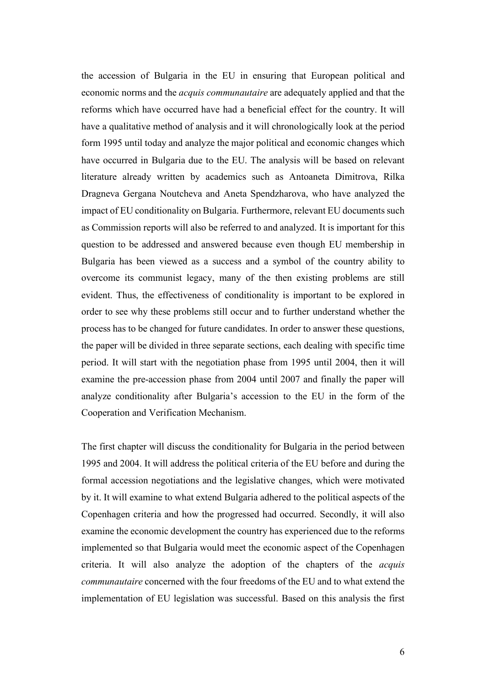the accession of Bulgaria in the EU in ensuring that European political and economic norms and the *acquis communautaire* are adequately applied and that the reforms which have occurred have had a beneficial effect for the country. It will have a qualitative method of analysis and it will chronologically look at the period form 1995 until today and analyze the major political and economic changes which have occurred in Bulgaria due to the EU. The analysis will be based on relevant literature already written by academics such as Antoaneta Dimitrova, Rilka Dragneva Gergana Noutcheva and Aneta Spendzharova, who have analyzed the impact of EU conditionality on Bulgaria. Furthermore, relevant EU documents such as Commission reports will also be referred to and analyzed. It is important for this question to be addressed and answered because even though EU membership in Bulgaria has been viewed as a success and a symbol of the country ability to overcome its communist legacy, many of the then existing problems are still evident. Thus, the effectiveness of conditionality is important to be explored in order to see why these problems still occur and to further understand whether the process has to be changed for future candidates. In order to answer these questions, the paper will be divided in three separate sections, each dealing with specific time period. It will start with the negotiation phase from 1995 until 2004, then it will examine the pre-accession phase from 2004 until 2007 and finally the paper will analyze conditionality after Bulgaria's accession to the EU in the form of the Cooperation and Verification Mechanism.

The first chapter will discuss the conditionality for Bulgaria in the period between 1995 and 2004. It will address the political criteria of the EU before and during the formal accession negotiations and the legislative changes, which were motivated by it. It will examine to what extend Bulgaria adhered to the political aspects of the Copenhagen criteria and how the progressed had occurred. Secondly, it will also examine the economic development the country has experienced due to the reforms implemented so that Bulgaria would meet the economic aspect of the Copenhagen criteria. It will also analyze the adoption of the chapters of the *acquis communautaire* concerned with the four freedoms of the EU and to what extend the implementation of EU legislation was successful. Based on this analysis the first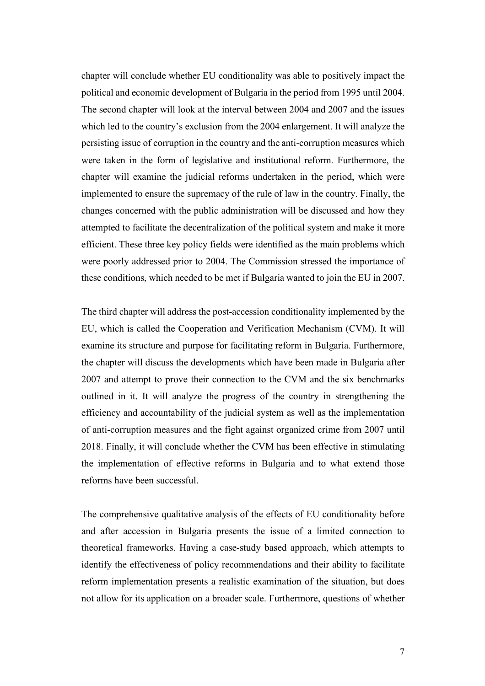chapter will conclude whether EU conditionality was able to positively impact the political and economic development of Bulgaria in the period from 1995 until 2004. The second chapter will look at the interval between 2004 and 2007 and the issues which led to the country's exclusion from the 2004 enlargement. It will analyze the persisting issue of corruption in the country and the anti-corruption measures which were taken in the form of legislative and institutional reform. Furthermore, the chapter will examine the judicial reforms undertaken in the period, which were implemented to ensure the supremacy of the rule of law in the country. Finally, the changes concerned with the public administration will be discussed and how they attempted to facilitate the decentralization of the political system and make it more efficient. These three key policy fields were identified as the main problems which were poorly addressed prior to 2004. The Commission stressed the importance of these conditions, which needed to be met if Bulgaria wanted to join the EU in 2007.

The third chapter will address the post-accession conditionality implemented by the EU, which is called the Cooperation and Verification Mechanism (CVM). It will examine its structure and purpose for facilitating reform in Bulgaria. Furthermore, the chapter will discuss the developments which have been made in Bulgaria after 2007 and attempt to prove their connection to the CVM and the six benchmarks outlined in it. It will analyze the progress of the country in strengthening the efficiency and accountability of the judicial system as well as the implementation of anti-corruption measures and the fight against organized crime from 2007 until 2018. Finally, it will conclude whether the CVM has been effective in stimulating the implementation of effective reforms in Bulgaria and to what extend those reforms have been successful.

The comprehensive qualitative analysis of the effects of EU conditionality before and after accession in Bulgaria presents the issue of a limited connection to theoretical frameworks. Having a case-study based approach, which attempts to identify the effectiveness of policy recommendations and their ability to facilitate reform implementation presents a realistic examination of the situation, but does not allow for its application on a broader scale. Furthermore, questions of whether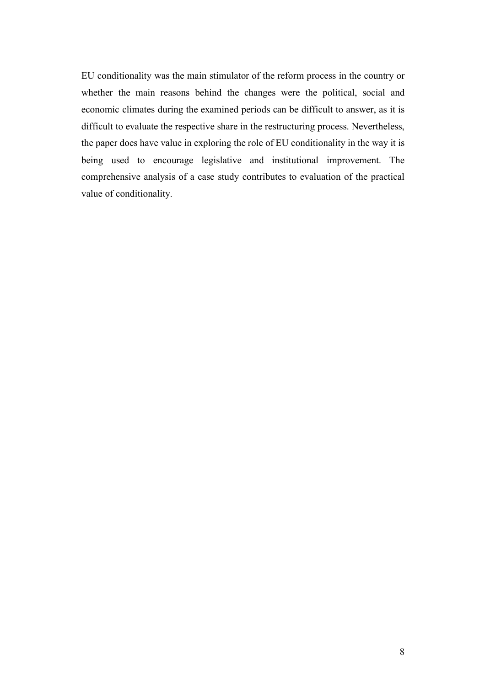EU conditionality was the main stimulator of the reform process in the country or whether the main reasons behind the changes were the political, social and economic climates during the examined periods can be difficult to answer, as it is difficult to evaluate the respective share in the restructuring process. Nevertheless, the paper does have value in exploring the role of EU conditionality in the way it is being used to encourage legislative and institutional improvement. The comprehensive analysis of a case study contributes to evaluation of the practical value of conditionality.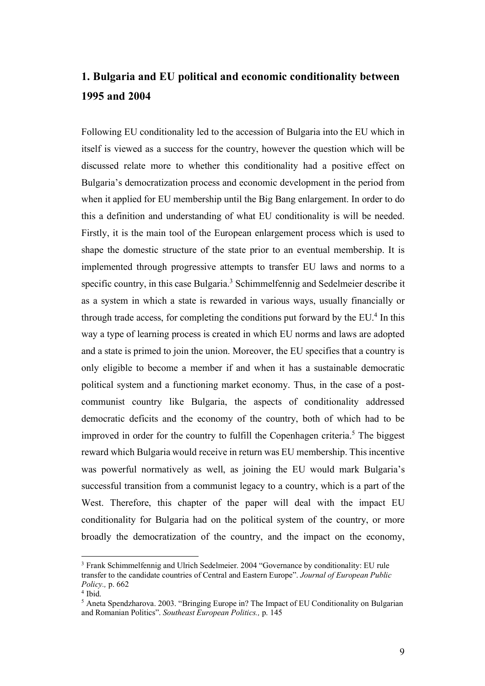## **1. Bulgaria and EU political and economic conditionality between 1995 and 2004**

Following EU conditionality led to the accession of Bulgaria into the EU which in itself is viewed as a success for the country, however the question which will be discussed relate more to whether this conditionality had a positive effect on Bulgaria's democratization process and economic development in the period from when it applied for EU membership until the Big Bang enlargement. In order to do this a definition and understanding of what EU conditionality is will be needed. Firstly, it is the main tool of the European enlargement process which is used to shape the domestic structure of the state prior to an eventual membership. It is implemented through progressive attempts to transfer EU laws and norms to a specific country, in this case Bulgaria.<sup>3</sup> Schimmelfennig and Sedelmeier describe it as a system in which a state is rewarded in various ways, usually financially or through trade access, for completing the conditions put forward by the  $EU<sup>4</sup>$  In this way a type of learning process is created in which EU norms and laws are adopted and a state is primed to join the union. Moreover, the EU specifies that a country is only eligible to become a member if and when it has a sustainable democratic political system and a functioning market economy. Thus, in the case of a postcommunist country like Bulgaria, the aspects of conditionality addressed democratic deficits and the economy of the country, both of which had to be improved in order for the country to fulfill the Copenhagen criteria. <sup>5</sup> The biggest reward which Bulgaria would receive in return was EU membership. This incentive was powerful normatively as well, as joining the EU would mark Bulgaria's successful transition from a communist legacy to a country, which is a part of the West. Therefore, this chapter of the paper will deal with the impact EU conditionality for Bulgaria had on the political system of the country, or more broadly the democratization of the country, and the impact on the economy,

<sup>&</sup>lt;sup>3</sup> Frank Schimmelfennig and Ulrich Sedelmeier. 2004 "Governance by conditionality: EU rule transfer to the candidate countries of Central and Eastern Europe". *Journal of European Public Policy.,* p. 662

<sup>4</sup> Ibid.

<sup>&</sup>lt;sup>5</sup> Aneta Spendzharova. 2003. "Bringing Europe in? The Impact of EU Conditionality on Bulgarian and Romanian Politics". *Southeast European Politics.,* p. 145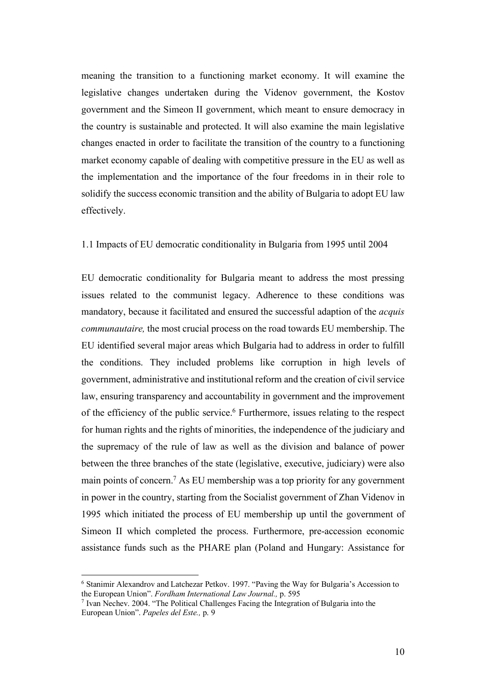meaning the transition to a functioning market economy. It will examine the legislative changes undertaken during the Videnov government, the Kostov government and the Simeon II government, which meant to ensure democracy in the country is sustainable and protected. It will also examine the main legislative changes enacted in order to facilitate the transition of the country to a functioning market economy capable of dealing with competitive pressure in the EU as well as the implementation and the importance of the four freedoms in in their role to solidify the success economic transition and the ability of Bulgaria to adopt EU law effectively.

### 1.1 Impacts of EU democratic conditionality in Bulgaria from 1995 until 2004

EU democratic conditionality for Bulgaria meant to address the most pressing issues related to the communist legacy. Adherence to these conditions was mandatory, because it facilitated and ensured the successful adaption of the *acquis communautaire,* the most crucial process on the road towards EU membership. The EU identified several major areas which Bulgaria had to address in order to fulfill the conditions. They included problems like corruption in high levels of government, administrative and institutional reform and the creation of civil service law, ensuring transparency and accountability in government and the improvement of the efficiency of the public service.<sup>6</sup> Furthermore, issues relating to the respect for human rights and the rights of minorities, the independence of the judiciary and the supremacy of the rule of law as well as the division and balance of power between the three branches of the state (legislative, executive, judiciary) were also main points of concern.7 As EU membership was a top priority for any government in power in the country, starting from the Socialist government of Zhan Videnov in 1995 which initiated the process of EU membership up until the government of Simeon II which completed the process. Furthermore, pre-accession economic assistance funds such as the PHARE plan (Poland and Hungary: Assistance for

 <sup>6</sup> Stanimir Alexandrov and Latchezar Petkov. 1997. "Paving the Way for Bulgaria's Accession to the European Union". *Fordham International Law Journal.,* p. 595

<sup>7</sup> Ivan Nechev. 2004. "The Political Challenges Facing the Integration of Bulgaria into the European Union". *Papeles del Este.,* p. 9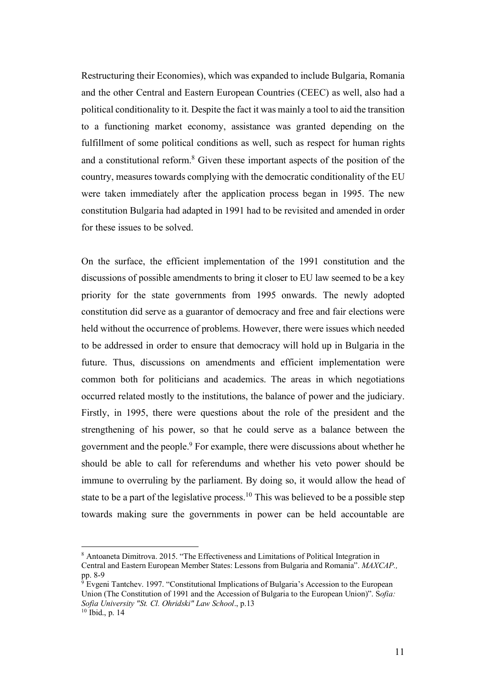Restructuring their Economies), which was expanded to include Bulgaria, Romania and the other Central and Eastern European Countries (CEEC) as well, also had a political conditionality to it. Despite the fact it was mainly a tool to aid the transition to a functioning market economy, assistance was granted depending on the fulfillment of some political conditions as well, such as respect for human rights and a constitutional reform.8 Given these important aspects of the position of the country, measures towards complying with the democratic conditionality of the EU were taken immediately after the application process began in 1995. The new constitution Bulgaria had adapted in 1991 had to be revisited and amended in order for these issues to be solved.

On the surface, the efficient implementation of the 1991 constitution and the discussions of possible amendments to bring it closer to EU law seemed to be a key priority for the state governments from 1995 onwards. The newly adopted constitution did serve as a guarantor of democracy and free and fair elections were held without the occurrence of problems. However, there were issues which needed to be addressed in order to ensure that democracy will hold up in Bulgaria in the future. Thus, discussions on amendments and efficient implementation were common both for politicians and academics. The areas in which negotiations occurred related mostly to the institutions, the balance of power and the judiciary. Firstly, in 1995, there were questions about the role of the president and the strengthening of his power, so that he could serve as a balance between the government and the people.9 For example, there were discussions about whether he should be able to call for referendums and whether his veto power should be immune to overruling by the parliament. By doing so, it would allow the head of state to be a part of the legislative process.<sup>10</sup> This was believed to be a possible step towards making sure the governments in power can be held accountable are

 <sup>8</sup> Antoaneta Dimitrova. 2015. "The Effectiveness and Limitations of Political Integration in Central and Eastern European Member States: Lessons from Bulgaria and Romania". *MAXCAP.,* pp. 8-9

<sup>9</sup> Evgeni Tantchev. 1997. "Constitutional Implications of Bulgaria's Accession to the European Union (The Constitution of 1991 and the Accession of Bulgaria to the European Union)". S*ofia: Sofia University "St. Cl. Ohridski" Law School*., p.13  $10$  Ibid., p. 14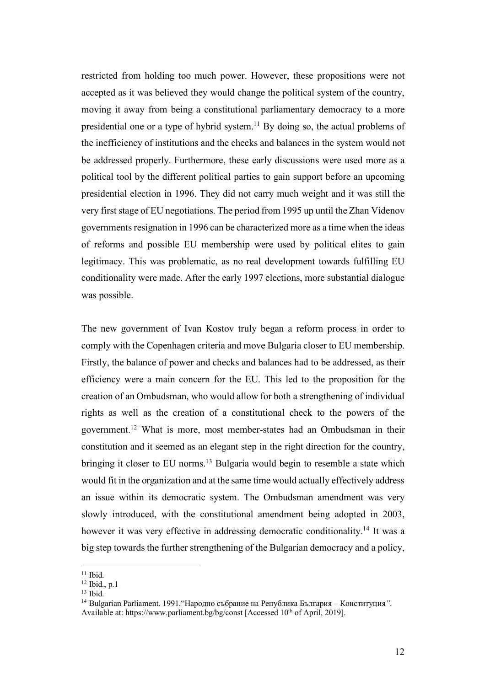restricted from holding too much power. However, these propositions were not accepted as it was believed they would change the political system of the country, moving it away from being a constitutional parliamentary democracy to a more presidential one or a type of hybrid system.11 By doing so, the actual problems of the inefficiency of institutions and the checks and balances in the system would not be addressed properly. Furthermore, these early discussions were used more as a political tool by the different political parties to gain support before an upcoming presidential election in 1996. They did not carry much weight and it was still the very first stage of EU negotiations. The period from 1995 up until the Zhan Videnov governments resignation in 1996 can be characterized more as a time when the ideas of reforms and possible EU membership were used by political elites to gain legitimacy. This was problematic, as no real development towards fulfilling EU conditionality were made. After the early 1997 elections, more substantial dialogue was possible.

The new government of Ivan Kostov truly began a reform process in order to comply with the Copenhagen criteria and move Bulgaria closer to EU membership. Firstly, the balance of power and checks and balances had to be addressed, as their efficiency were a main concern for the EU. This led to the proposition for the creation of an Ombudsman, who would allow for both a strengthening of individual rights as well as the creation of a constitutional check to the powers of the government.12 What is more, most member-states had an Ombudsman in their constitution and it seemed as an elegant step in the right direction for the country, bringing it closer to EU norms.<sup>13</sup> Bulgaria would begin to resemble a state which would fit in the organization and at the same time would actually effectively address an issue within its democratic system. The Ombudsman amendment was very slowly introduced, with the constitutional amendment being adopted in 2003, however it was very effective in addressing democratic conditionality.<sup>14</sup> It was a big step towards the further strengthening of the Bulgarian democracy and a policy,

 $11$  Ibid.

<sup>12</sup> Ibid., p.1

 $13$  Ibid.

<sup>14</sup> Bulgarian Parliament. 1991."Народно събрание на Република България – Конституция*"*.

Available at: https://www.parliament.bg/bg/const [Accessed 10<sup>th</sup> of April, 2019].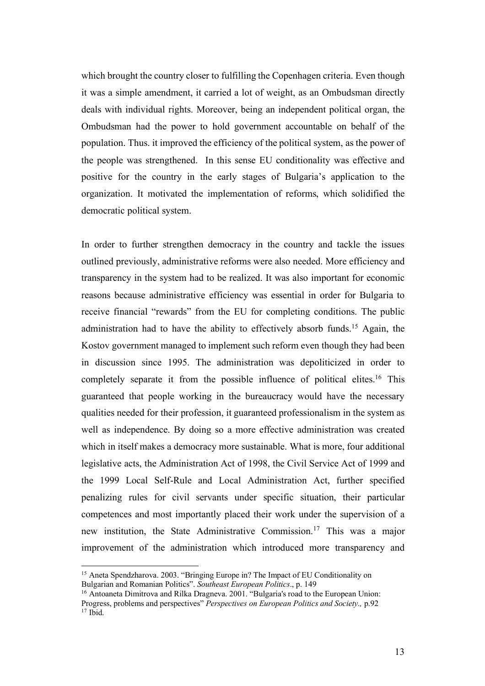which brought the country closer to fulfilling the Copenhagen criteria. Even though it was a simple amendment, it carried a lot of weight, as an Ombudsman directly deals with individual rights. Moreover, being an independent political organ, the Ombudsman had the power to hold government accountable on behalf of the population. Thus. it improved the efficiency of the political system, as the power of the people was strengthened. In this sense EU conditionality was effective and positive for the country in the early stages of Bulgaria's application to the organization. It motivated the implementation of reforms, which solidified the democratic political system.

In order to further strengthen democracy in the country and tackle the issues outlined previously, administrative reforms were also needed. More efficiency and transparency in the system had to be realized. It was also important for economic reasons because administrative efficiency was essential in order for Bulgaria to receive financial "rewards" from the EU for completing conditions. The public administration had to have the ability to effectively absorb funds. <sup>15</sup> Again, the Kostov government managed to implement such reform even though they had been in discussion since 1995. The administration was depoliticized in order to completely separate it from the possible influence of political elites.<sup>16</sup> This guaranteed that people working in the bureaucracy would have the necessary qualities needed for their profession, it guaranteed professionalism in the system as well as independence. By doing so a more effective administration was created which in itself makes a democracy more sustainable. What is more, four additional legislative acts, the Administration Act of 1998, the Civil Service Act of 1999 and the 1999 Local Self-Rule and Local Administration Act, further specified penalizing rules for civil servants under specific situation, their particular competences and most importantly placed their work under the supervision of a new institution, the State Administrative Commission.17 This was a major improvement of the administration which introduced more transparency and

 <sup>15</sup> Aneta Spendzharova. 2003. "Bringing Europe in? The Impact of EU Conditionality on Bulgarian and Romanian Politics". *Southeast European Politics*., p. 149

<sup>&</sup>lt;sup>16</sup> Antoaneta Dimitrova and Rilka Dragneva. 2001. "Bulgaria's road to the European Union: Progress, problems and perspectives" *Perspectives on European Politics and Society.,* p.92  $17$  Ibid.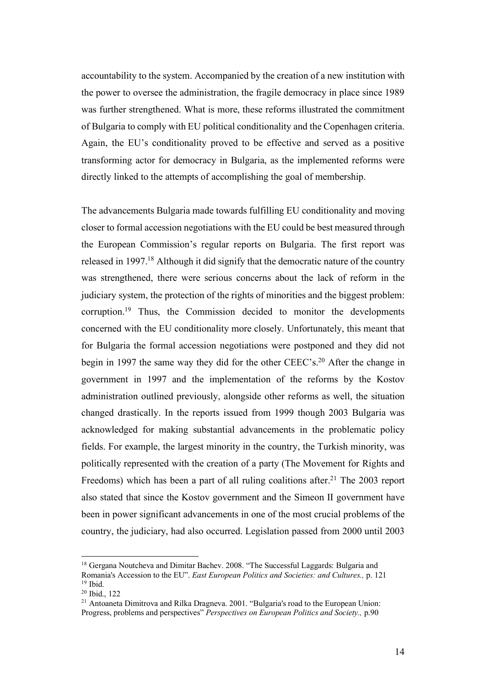accountability to the system. Accompanied by the creation of a new institution with the power to oversee the administration, the fragile democracy in place since 1989 was further strengthened. What is more, these reforms illustrated the commitment of Bulgaria to comply with EU political conditionality and the Copenhagen criteria. Again, the EU's conditionality proved to be effective and served as a positive transforming actor for democracy in Bulgaria, as the implemented reforms were directly linked to the attempts of accomplishing the goal of membership.

The advancements Bulgaria made towards fulfilling EU conditionality and moving closer to formal accession negotiations with the EU could be best measured through the European Commission's regular reports on Bulgaria. The first report was released in 1997.18 Although it did signify that the democratic nature of the country was strengthened, there were serious concerns about the lack of reform in the judiciary system, the protection of the rights of minorities and the biggest problem: corruption.19 Thus, the Commission decided to monitor the developments concerned with the EU conditionality more closely. Unfortunately, this meant that for Bulgaria the formal accession negotiations were postponed and they did not begin in 1997 the same way they did for the other CEEC's. <sup>20</sup> After the change in government in 1997 and the implementation of the reforms by the Kostov administration outlined previously, alongside other reforms as well, the situation changed drastically. In the reports issued from 1999 though 2003 Bulgaria was acknowledged for making substantial advancements in the problematic policy fields. For example, the largest minority in the country, the Turkish minority, was politically represented with the creation of a party (The Movement for Rights and Freedoms) which has been a part of all ruling coalitions after.<sup>21</sup> The 2003 report also stated that since the Kostov government and the Simeon II government have been in power significant advancements in one of the most crucial problems of the country, the judiciary, had also occurred. Legislation passed from 2000 until 2003

<sup>&</sup>lt;sup>18</sup> Gergana Noutcheva and Dimitar Bachev. 2008. "The Successful Laggards: Bulgaria and Romania's Accession to the EU". *East European Politics and Societies: and Cultures.,* p. 121  $19$  Ibid.

<sup>20</sup> Ibid., 122

<sup>&</sup>lt;sup>21</sup> Antoaneta Dimitrova and Rilka Dragneva. 2001. "Bulgaria's road to the European Union: Progress, problems and perspectives" *Perspectives on European Politics and Society.,* p.90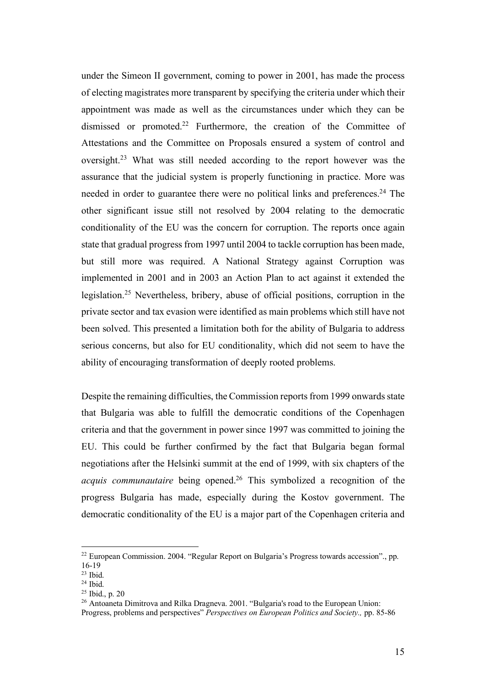under the Simeon II government, coming to power in 2001, has made the process of electing magistrates more transparent by specifying the criteria under which their appointment was made as well as the circumstances under which they can be dismissed or promoted.<sup>22</sup> Furthermore, the creation of the Committee of Attestations and the Committee on Proposals ensured a system of control and oversight.23 What was still needed according to the report however was the assurance that the judicial system is properly functioning in practice. More was needed in order to guarantee there were no political links and preferences.<sup>24</sup> The other significant issue still not resolved by 2004 relating to the democratic conditionality of the EU was the concern for corruption. The reports once again state that gradual progress from 1997 until 2004 to tackle corruption has been made, but still more was required. A National Strategy against Corruption was implemented in 2001 and in 2003 an Action Plan to act against it extended the legislation.25 Nevertheless, bribery, abuse of official positions, corruption in the private sector and tax evasion were identified as main problems which still have not been solved. This presented a limitation both for the ability of Bulgaria to address serious concerns, but also for EU conditionality, which did not seem to have the ability of encouraging transformation of deeply rooted problems.

Despite the remaining difficulties, the Commission reports from 1999 onwards state that Bulgaria was able to fulfill the democratic conditions of the Copenhagen criteria and that the government in power since 1997 was committed to joining the EU. This could be further confirmed by the fact that Bulgaria began formal negotiations after the Helsinki summit at the end of 1999, with six chapters of the *acquis communautaire* being opened.<sup>26</sup> This symbolized a recognition of the progress Bulgaria has made, especially during the Kostov government. The democratic conditionality of the EU is a major part of the Copenhagen criteria and

 <sup>22</sup> European Commission. 2004. "Regular Report on Bulgaria's Progress towards accession"., pp. 16-19

 $23$  Ibid.

 $24$  Ibid.

<sup>25</sup> Ibid., p. 20

<sup>&</sup>lt;sup>26</sup> Antoaneta Dimitrova and Rilka Dragneva. 2001. "Bulgaria's road to the European Union:

Progress, problems and perspectives" *Perspectives on European Politics and Society.,* pp. 85-86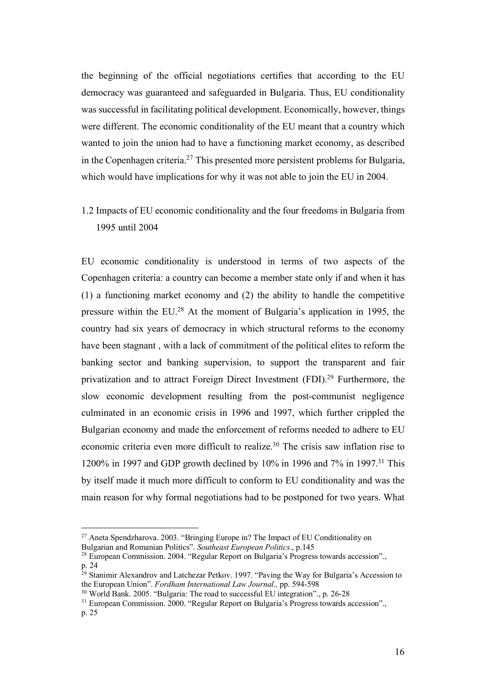the beginning of the official negotiations certifies that according to the EU democracy was guaranteed and safeguarded in Bulgaria. Thus, EU conditionality was successful in facilitating political development. Economically, however, things were different. The economic conditionality of the EU meant that a country which wanted to join the union had to have a functioning market economy, as described in the Copenhagen criteria. <sup>27</sup> This presented more persistent problems for Bulgaria, which would have implications for why it was not able to join the EU in 2004.

1.2 Impacts of EU economic conditionality and the four freedoms in Bulgaria from 1995 until 2004

EU economic conditionality is understood in terms of two aspects of the Copenhagen criteria: a country can become a member state only if and when it has (1) a functioning market economy and (2) the ability to handle the competitive pressure within the EU.28 At the moment of Bulgaria's application in 1995, the country had six years of democracy in which structural reforms to the economy have been stagnant , with a lack of commitment of the political elites to reform the banking sector and banking supervision, to support the transparent and fair privatization and to attract Foreign Direct Investment (FDI). <sup>29</sup> Furthermore, the slow economic development resulting from the post-communist negligence culminated in an economic crisis in 1996 and 1997, which further crippled the Bulgarian economy and made the enforcement of reforms needed to adhere to EU economic criteria even more difficult to realize. <sup>30</sup> The crisis saw inflation rise to 1200% in 1997 and GDP growth declined by 10% in 1996 and 7% in 1997.31 This by itself made it much more difficult to conform to EU conditionality and was the main reason for why formal negotiations had to be postponed for two years. What

 <sup>27</sup> Aneta Spendzharova. 2003. "Bringing Europe in? The Impact of EU Conditionality on Bulgarian and Romanian Politics". *Southeast European Politics*., p.145

<sup>28</sup> European Commission. 2004. "Regular Report on Bulgaria's Progress towards accession"., p. 24

<sup>&</sup>lt;sup>29</sup> Stanimir Alexandrov and Latchezar Petkov. 1997. "Paving the Way for Bulgaria's Accession to the European Union". *Fordham International Law Journal.,* pp. 594-598

<sup>30</sup> World Bank. 2005. "Bulgaria: The road to successful EU integration"., p. 26-28

<sup>&</sup>lt;sup>31</sup> European Commission. 2000. "Regular Report on Bulgaria's Progress towards accession".

p. 25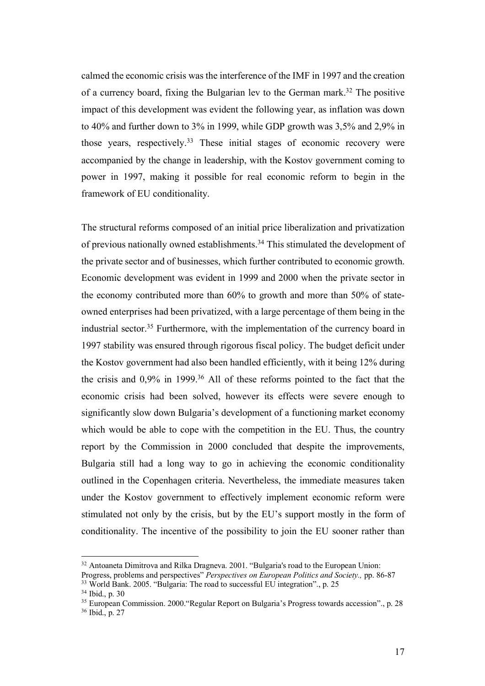calmed the economic crisis was the interference of the IMF in 1997 and the creation of a currency board, fixing the Bulgarian lev to the German mark.<sup>32</sup> The positive impact of this development was evident the following year, as inflation was down to 40% and further down to 3% in 1999, while GDP growth was 3,5% and 2,9% in those years, respectively.<sup>33</sup> These initial stages of economic recovery were accompanied by the change in leadership, with the Kostov government coming to power in 1997, making it possible for real economic reform to begin in the framework of EU conditionality.

The structural reforms composed of an initial price liberalization and privatization of previous nationally owned establishments.34 This stimulated the development of the private sector and of businesses, which further contributed to economic growth. Economic development was evident in 1999 and 2000 when the private sector in the economy contributed more than 60% to growth and more than 50% of stateowned enterprises had been privatized, with a large percentage of them being in the industrial sector.35 Furthermore, with the implementation of the currency board in 1997 stability was ensured through rigorous fiscal policy. The budget deficit under the Kostov government had also been handled efficiently, with it being 12% during the crisis and  $0.9\%$  in 1999.<sup>36</sup> All of these reforms pointed to the fact that the economic crisis had been solved, however its effects were severe enough to significantly slow down Bulgaria's development of a functioning market economy which would be able to cope with the competition in the EU. Thus, the country report by the Commission in 2000 concluded that despite the improvements, Bulgaria still had a long way to go in achieving the economic conditionality outlined in the Copenhagen criteria. Nevertheless, the immediate measures taken under the Kostov government to effectively implement economic reform were stimulated not only by the crisis, but by the EU's support mostly in the form of conditionality. The incentive of the possibility to join the EU sooner rather than

<sup>&</sup>lt;sup>32</sup> Antoaneta Dimitrova and Rilka Dragneva. 2001. "Bulgaria's road to the European Union:

Progress, problems and perspectives" *Perspectives on European Politics and Society.,* pp. 86-87  $33$  World Bank. 2005. "Bulgaria: The road to successful EU integration"., p. 25

<sup>34</sup> Ibid., p. 30

<sup>&</sup>lt;sup>35</sup> European Commission. 2000. "Regular Report on Bulgaria's Progress towards accession"., p. 28 <sup>36</sup> Ibid., p. 27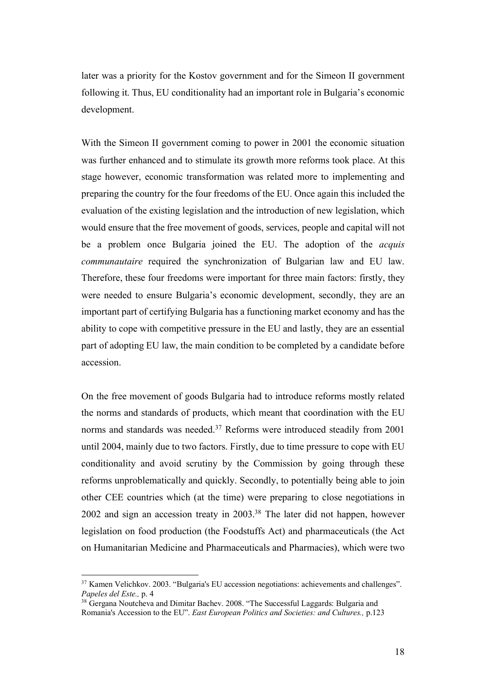later was a priority for the Kostov government and for the Simeon II government following it. Thus, EU conditionality had an important role in Bulgaria's economic development.

With the Simeon II government coming to power in 2001 the economic situation was further enhanced and to stimulate its growth more reforms took place. At this stage however, economic transformation was related more to implementing and preparing the country for the four freedoms of the EU. Once again this included the evaluation of the existing legislation and the introduction of new legislation, which would ensure that the free movement of goods, services, people and capital will not be a problem once Bulgaria joined the EU. The adoption of the *acquis communautaire* required the synchronization of Bulgarian law and EU law. Therefore, these four freedoms were important for three main factors: firstly, they were needed to ensure Bulgaria's economic development, secondly, they are an important part of certifying Bulgaria has a functioning market economy and has the ability to cope with competitive pressure in the EU and lastly, they are an essential part of adopting EU law, the main condition to be completed by a candidate before accession.

On the free movement of goods Bulgaria had to introduce reforms mostly related the norms and standards of products, which meant that coordination with the EU norms and standards was needed.<sup>37</sup> Reforms were introduced steadily from 2001 until 2004, mainly due to two factors. Firstly, due to time pressure to cope with EU conditionality and avoid scrutiny by the Commission by going through these reforms unproblematically and quickly. Secondly, to potentially being able to join other CEE countries which (at the time) were preparing to close negotiations in 2002 and sign an accession treaty in 2003. <sup>38</sup> The later did not happen, however legislation on food production (the Foodstuffs Act) and pharmaceuticals (the Act on Humanitarian Medicine and Pharmaceuticals and Pharmacies), which were two

 $37$  Kamen Velichkov. 2003. "Bulgaria's EU accession negotiations: achievements and challenges". *Papeles del Este.,* p. 4

<sup>&</sup>lt;sup>38</sup> Gergana Noutcheva and Dimitar Bachev. 2008. "The Successful Laggards: Bulgaria and Romania's Accession to the EU". *East European Politics and Societies: and Cultures.,* p.123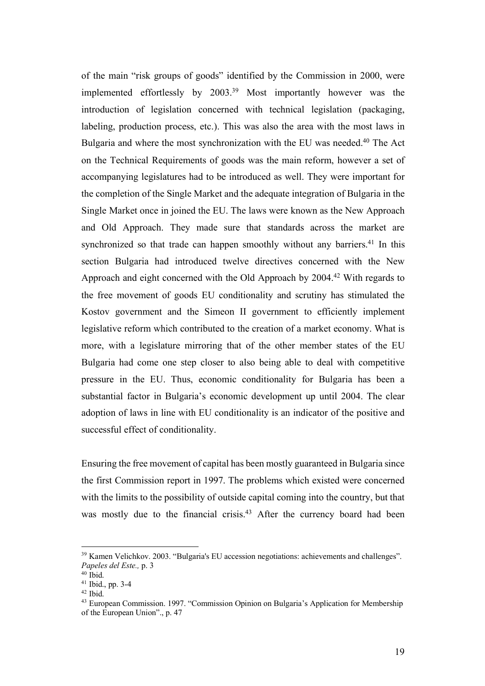of the main "risk groups of goods" identified by the Commission in 2000, were implemented effortlessly by 2003.39 Most importantly however was the introduction of legislation concerned with technical legislation (packaging, labeling, production process, etc.). This was also the area with the most laws in Bulgaria and where the most synchronization with the EU was needed.<sup>40</sup> The Act on the Technical Requirements of goods was the main reform, however a set of accompanying legislatures had to be introduced as well. They were important for the completion of the Single Market and the adequate integration of Bulgaria in the Single Market once in joined the EU. The laws were known as the New Approach and Old Approach. They made sure that standards across the market are synchronized so that trade can happen smoothly without any barriers.<sup>41</sup> In this section Bulgaria had introduced twelve directives concerned with the New Approach and eight concerned with the Old Approach by 2004.42 With regards to the free movement of goods EU conditionality and scrutiny has stimulated the Kostov government and the Simeon II government to efficiently implement legislative reform which contributed to the creation of a market economy. What is more, with a legislature mirroring that of the other member states of the EU Bulgaria had come one step closer to also being able to deal with competitive pressure in the EU. Thus, economic conditionality for Bulgaria has been a substantial factor in Bulgaria's economic development up until 2004. The clear adoption of laws in line with EU conditionality is an indicator of the positive and successful effect of conditionality.

Ensuring the free movement of capital has been mostly guaranteed in Bulgaria since the first Commission report in 1997. The problems which existed were concerned with the limits to the possibility of outside capital coming into the country, but that was mostly due to the financial crisis.<sup>43</sup> After the currency board had been

 <sup>39</sup> Kamen Velichkov. 2003. "Bulgaria's EU accession negotiations: achievements and challenges". *Papeles del Este.,* p. 3

 $40$  Ibid. <sup>41</sup> Ibid., pp. 3-4

 $42$  Ibid.

<sup>43</sup> European Commission. 1997. "Commission Opinion on Bulgaria's Application for Membership of the European Union"., p. 47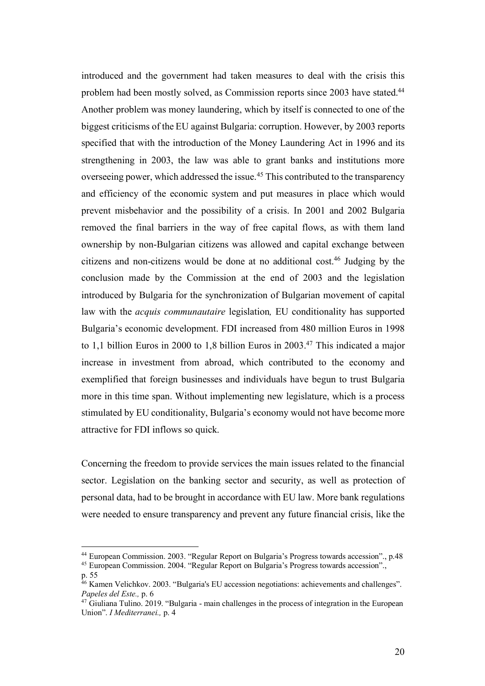introduced and the government had taken measures to deal with the crisis this problem had been mostly solved, as Commission reports since 2003 have stated.<sup>44</sup> Another problem was money laundering, which by itself is connected to one of the biggest criticisms of the EU against Bulgaria: corruption. However, by 2003 reports specified that with the introduction of the Money Laundering Act in 1996 and its strengthening in 2003, the law was able to grant banks and institutions more overseeing power, which addressed the issue.45 This contributed to the transparency and efficiency of the economic system and put measures in place which would prevent misbehavior and the possibility of a crisis. In 2001 and 2002 Bulgaria removed the final barriers in the way of free capital flows, as with them land ownership by non-Bulgarian citizens was allowed and capital exchange between citizens and non-citizens would be done at no additional cost.46 Judging by the conclusion made by the Commission at the end of 2003 and the legislation introduced by Bulgaria for the synchronization of Bulgarian movement of capital law with the *acquis communautaire* legislation*,* EU conditionality has supported Bulgaria's economic development. FDI increased from 480 million Euros in 1998 to 1,1 billion Euros in 2000 to 1,8 billion Euros in 2003.47 This indicated a major increase in investment from abroad, which contributed to the economy and exemplified that foreign businesses and individuals have begun to trust Bulgaria more in this time span. Without implementing new legislature, which is a process stimulated by EU conditionality, Bulgaria's economy would not have become more attractive for FDI inflows so quick.

Concerning the freedom to provide services the main issues related to the financial sector. Legislation on the banking sector and security, as well as protection of personal data, had to be brought in accordance with EU law. More bank regulations were needed to ensure transparency and prevent any future financial crisis, like the

 <sup>44</sup> European Commission. 2003. "Regular Report on Bulgaria's Progress towards accession"., p.48

<sup>45</sup> European Commission. 2004. "Regular Report on Bulgaria's Progress towards accession".,

p. 55

<sup>46</sup> Kamen Velichkov. 2003. "Bulgaria's EU accession negotiations: achievements and challenges". *Papeles del Este.,* p. 6

<sup>&</sup>lt;sup>47</sup> Giuliana Tulino. 2019. "Bulgaria - main challenges in the process of integration in the European Union". *I Mediterranei.,* p. 4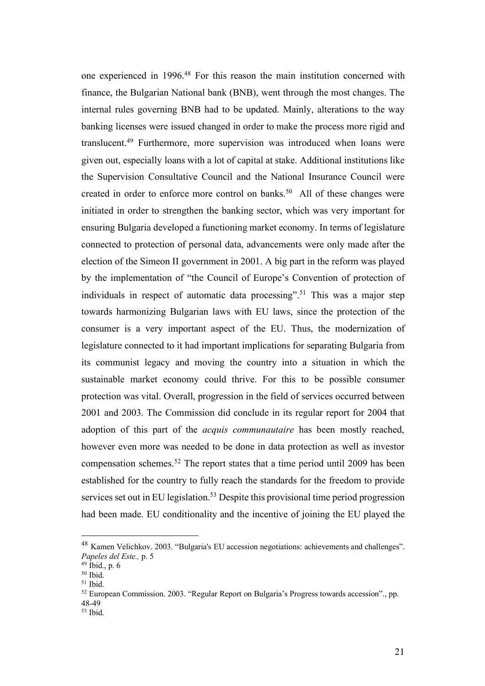one experienced in 1996.48 For this reason the main institution concerned with finance, the Bulgarian National bank (BNB), went through the most changes. The internal rules governing BNB had to be updated. Mainly, alterations to the way banking licenses were issued changed in order to make the process more rigid and translucent.49 Furthermore, more supervision was introduced when loans were given out, especially loans with a lot of capital at stake. Additional institutions like the Supervision Consultative Council and the National Insurance Council were created in order to enforce more control on banks.<sup>50</sup> All of these changes were initiated in order to strengthen the banking sector, which was very important for ensuring Bulgaria developed a functioning market economy. In terms of legislature connected to protection of personal data, advancements were only made after the election of the Simeon II government in 2001. A big part in the reform was played by the implementation of "the Council of Europe's Convention of protection of individuals in respect of automatic data processing".<sup>51</sup> This was a major step towards harmonizing Bulgarian laws with EU laws, since the protection of the consumer is a very important aspect of the EU. Thus, the modernization of legislature connected to it had important implications for separating Bulgaria from its communist legacy and moving the country into a situation in which the sustainable market economy could thrive. For this to be possible consumer protection was vital. Overall, progression in the field of services occurred between 2001 and 2003. The Commission did conclude in its regular report for 2004 that adoption of this part of the *acquis communautaire* has been mostly reached, however even more was needed to be done in data protection as well as investor compensation schemes. <sup>52</sup> The report states that a time period until 2009 has been established for the country to fully reach the standards for the freedom to provide services set out in EU legislation.<sup>53</sup> Despite this provisional time period progression had been made. EU conditionality and the incentive of joining the EU played the

 <sup>48</sup> Kamen Velichkov. 2003. "Bulgaria's EU accession negotiations: achievements and challenges". *Papeles del Este.,* p. 5

 $49$  Ibid., p. 6

<sup>50</sup> Ibid.

 $51$  Ibid.

<sup>52</sup> European Commission. 2003. "Regular Report on Bulgaria's Progress towards accession"., pp. 48-49

<sup>53</sup> Ibid.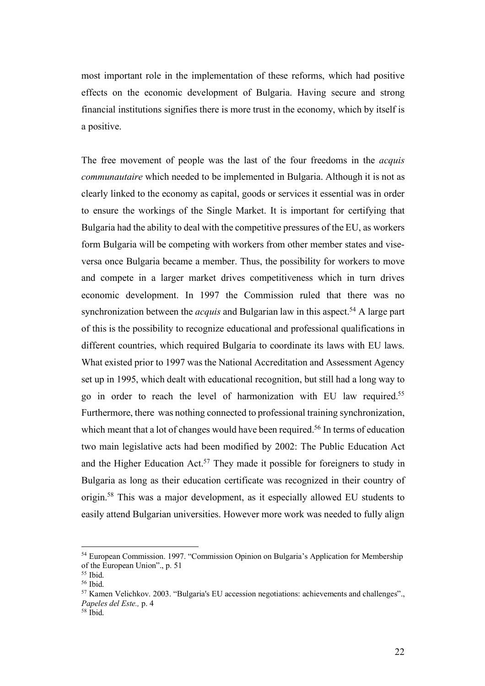most important role in the implementation of these reforms, which had positive effects on the economic development of Bulgaria. Having secure and strong financial institutions signifies there is more trust in the economy, which by itself is a positive.

The free movement of people was the last of the four freedoms in the *acquis communautaire* which needed to be implemented in Bulgaria. Although it is not as clearly linked to the economy as capital, goods or services it essential was in order to ensure the workings of the Single Market. It is important for certifying that Bulgaria had the ability to deal with the competitive pressures of the EU, as workers form Bulgaria will be competing with workers from other member states and viseversa once Bulgaria became a member. Thus, the possibility for workers to move and compete in a larger market drives competitiveness which in turn drives economic development. In 1997 the Commission ruled that there was no synchronization between the *acquis* and Bulgarian law in this aspect.<sup>54</sup> A large part of this is the possibility to recognize educational and professional qualifications in different countries, which required Bulgaria to coordinate its laws with EU laws. What existed prior to 1997 was the National Accreditation and Assessment Agency set up in 1995, which dealt with educational recognition, but still had a long way to go in order to reach the level of harmonization with EU law required. 55 Furthermore, there was nothing connected to professional training synchronization, which meant that a lot of changes would have been required.<sup>56</sup> In terms of education two main legislative acts had been modified by 2002: The Public Education Act and the Higher Education Act.<sup>57</sup> They made it possible for foreigners to study in Bulgaria as long as their education certificate was recognized in their country of origin.58 This was a major development, as it especially allowed EU students to easily attend Bulgarian universities. However more work was needed to fully align

 <sup>54</sup> European Commission. 1997. "Commission Opinion on Bulgaria's Application for Membership of the European Union"., p. 51

<sup>55</sup> Ibid.

 $56$  Ibid.

<sup>57</sup> Kamen Velichkov. 2003. "Bulgaria's EU accession negotiations: achievements and challenges"., *Papeles del Este.,* p. 4

<sup>58</sup> Ibid.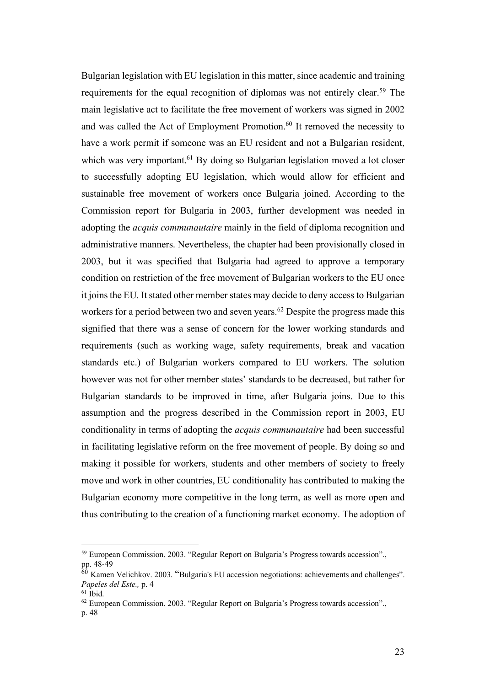Bulgarian legislation with EU legislation in this matter, since academic and training requirements for the equal recognition of diplomas was not entirely clear.59 The main legislative act to facilitate the free movement of workers was signed in 2002 and was called the Act of Employment Promotion.<sup>60</sup> It removed the necessity to have a work permit if someone was an EU resident and not a Bulgarian resident, which was very important.<sup>61</sup> By doing so Bulgarian legislation moved a lot closer to successfully adopting EU legislation, which would allow for efficient and sustainable free movement of workers once Bulgaria joined. According to the Commission report for Bulgaria in 2003, further development was needed in adopting the *acquis communautaire* mainly in the field of diploma recognition and administrative manners. Nevertheless, the chapter had been provisionally closed in 2003, but it was specified that Bulgaria had agreed to approve a temporary condition on restriction of the free movement of Bulgarian workers to the EU once it joins the EU. It stated other member states may decide to deny access to Bulgarian workers for a period between two and seven years.<sup>62</sup> Despite the progress made this signified that there was a sense of concern for the lower working standards and requirements (such as working wage, safety requirements, break and vacation standards etc.) of Bulgarian workers compared to EU workers. The solution however was not for other member states' standards to be decreased, but rather for Bulgarian standards to be improved in time, after Bulgaria joins. Due to this assumption and the progress described in the Commission report in 2003, EU conditionality in terms of adopting the *acquis communautaire* had been successful in facilitating legislative reform on the free movement of people. By doing so and making it possible for workers, students and other members of society to freely move and work in other countries, EU conditionality has contributed to making the Bulgarian economy more competitive in the long term, as well as more open and thus contributing to the creation of a functioning market economy. The adoption of

 <sup>59</sup> European Commission. 2003. "Regular Report on Bulgaria's Progress towards accession"., pp. 48-49

 $60$  Kamen Velichkov. 2003. "Bulgaria's EU accession negotiations: achievements and challenges". *Papeles del Este.,* p. 4

 $61$  Ibid.

<sup>62</sup> European Commission. 2003. "Regular Report on Bulgaria's Progress towards accession".,

p. 48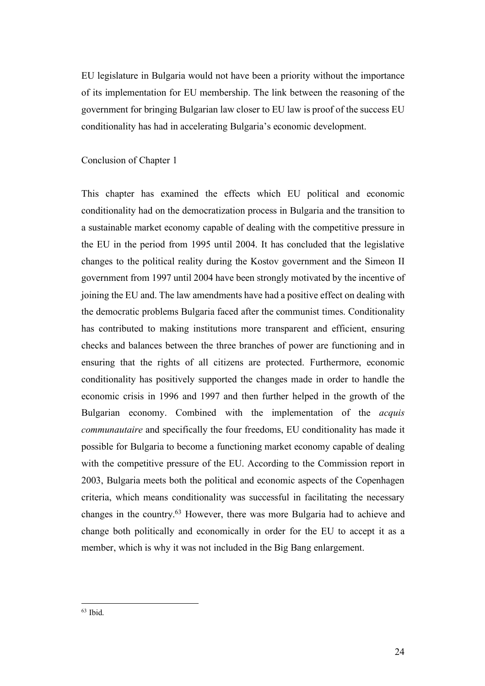EU legislature in Bulgaria would not have been a priority without the importance of its implementation for EU membership. The link between the reasoning of the government for bringing Bulgarian law closer to EU law is proof of the success EU conditionality has had in accelerating Bulgaria's economic development.

### Conclusion of Chapter 1

This chapter has examined the effects which EU political and economic conditionality had on the democratization process in Bulgaria and the transition to a sustainable market economy capable of dealing with the competitive pressure in the EU in the period from 1995 until 2004. It has concluded that the legislative changes to the political reality during the Kostov government and the Simeon II government from 1997 until 2004 have been strongly motivated by the incentive of joining the EU and. The law amendments have had a positive effect on dealing with the democratic problems Bulgaria faced after the communist times. Conditionality has contributed to making institutions more transparent and efficient, ensuring checks and balances between the three branches of power are functioning and in ensuring that the rights of all citizens are protected. Furthermore, economic conditionality has positively supported the changes made in order to handle the economic crisis in 1996 and 1997 and then further helped in the growth of the Bulgarian economy. Combined with the implementation of the *acquis communautaire* and specifically the four freedoms, EU conditionality has made it possible for Bulgaria to become a functioning market economy capable of dealing with the competitive pressure of the EU. According to the Commission report in 2003, Bulgaria meets both the political and economic aspects of the Copenhagen criteria, which means conditionality was successful in facilitating the necessary changes in the country.63 However, there was more Bulgaria had to achieve and change both politically and economically in order for the EU to accept it as a member, which is why it was not included in the Big Bang enlargement.

 $63$  Ibid.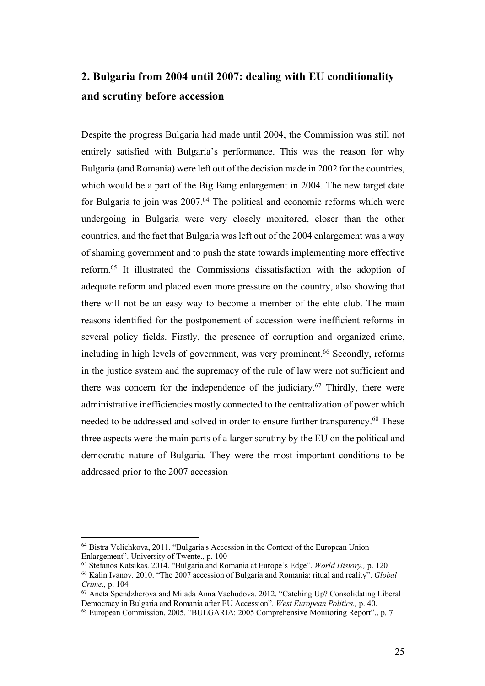# **2. Bulgaria from 2004 until 2007: dealing with EU conditionality and scrutiny before accession**

Despite the progress Bulgaria had made until 2004, the Commission was still not entirely satisfied with Bulgaria's performance. This was the reason for why Bulgaria (and Romania) were left out of the decision made in 2002 for the countries, which would be a part of the Big Bang enlargement in 2004. The new target date for Bulgaria to join was 2007.<sup>64</sup> The political and economic reforms which were undergoing in Bulgaria were very closely monitored, closer than the other countries, and the fact that Bulgaria was left out of the 2004 enlargement was a way of shaming government and to push the state towards implementing more effective reform.65 It illustrated the Commissions dissatisfaction with the adoption of adequate reform and placed even more pressure on the country, also showing that there will not be an easy way to become a member of the elite club. The main reasons identified for the postponement of accession were inefficient reforms in several policy fields. Firstly, the presence of corruption and organized crime, including in high levels of government, was very prominent.<sup>66</sup> Secondly, reforms in the justice system and the supremacy of the rule of law were not sufficient and there was concern for the independence of the judiciary.<sup>67</sup> Thirdly, there were administrative inefficiencies mostly connected to the centralization of power which needed to be addressed and solved in order to ensure further transparency.68 These three aspects were the main parts of a larger scrutiny by the EU on the political and democratic nature of Bulgaria. They were the most important conditions to be addressed prior to the 2007 accession

 <sup>64</sup> Bistra Velichkova, 2011. "Bulgaria's Accession in the Context of the European Union Enlargement". University of Twente., p. 100

<sup>65</sup> Stefanos Katsikas. 2014. "Bulgaria and Romania at Europe's Edge". *World History.,* p. 120

<sup>66</sup> Kalin Ivanov. 2010. "The 2007 accession of Bulgaria and Romania: ritual and reality". *Global Crime.,* p. 104

<sup>67</sup> Aneta Spendzherova and Milada Anna Vachudova. 2012. "Catching Up? Consolidating Liberal Democracy in Bulgaria and Romania after EU Accession". *West European Politics.,* p. 40.

<sup>68</sup> European Commission. 2005. "BULGARIA: 2005 Comprehensive Monitoring Report"., p. 7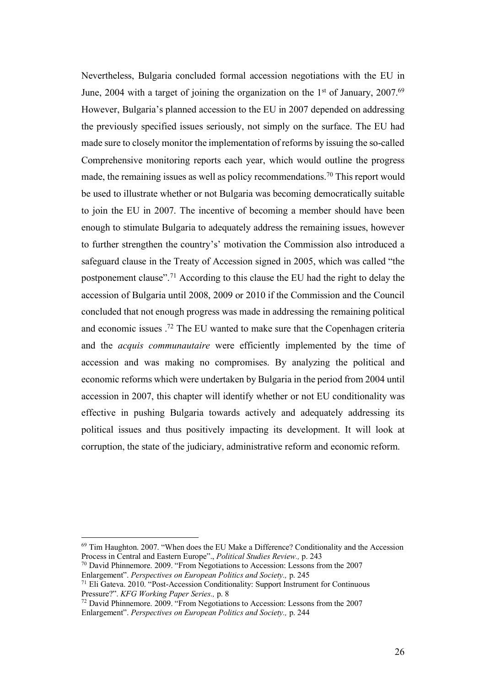Nevertheless, Bulgaria concluded formal accession negotiations with the EU in June, 2004 with a target of joining the organization on the  $1<sup>st</sup>$  of January, 2007.<sup>69</sup> However, Bulgaria's planned accession to the EU in 2007 depended on addressing the previously specified issues seriously, not simply on the surface. The EU had made sure to closely monitor the implementation of reforms by issuing the so-called Comprehensive monitoring reports each year, which would outline the progress made, the remaining issues as well as policy recommendations.70 This report would be used to illustrate whether or not Bulgaria was becoming democratically suitable to join the EU in 2007. The incentive of becoming a member should have been enough to stimulate Bulgaria to adequately address the remaining issues, however to further strengthen the country's' motivation the Commission also introduced a safeguard clause in the Treaty of Accession signed in 2005, which was called "the postponement clause".71 According to this clause the EU had the right to delay the accession of Bulgaria until 2008, 2009 or 2010 if the Commission and the Council concluded that not enough progress was made in addressing the remaining political and economic issues .72 The EU wanted to make sure that the Copenhagen criteria and the *acquis communautaire* were efficiently implemented by the time of accession and was making no compromises. By analyzing the political and economic reforms which were undertaken by Bulgaria in the period from 2004 until accession in 2007, this chapter will identify whether or not EU conditionality was effective in pushing Bulgaria towards actively and adequately addressing its political issues and thus positively impacting its development. It will look at corruption, the state of the judiciary, administrative reform and economic reform.

 <sup>69</sup> Tim Haughton. 2007. "When does the EU Make a Difference? Conditionality and the Accession Process in Central and Eastern Europe"., *Political Studies Review.,* p. 243

<sup>70</sup> David Phinnemore. 2009. "From Negotiations to Accession: Lessons from the 2007 Enlargement". *Perspectives on European Politics and Society.,* p. 245

 $71$  Eli Gateva. 2010. "Post-Accession Conditionality: Support Instrument for Continuous Pressure?". *KFG Working Paper Series.,* p. 8

 $72$  David Phinnemore. 2009. "From Negotiations to Accession: Lessons from the 2007 Enlargement". *Perspectives on European Politics and Society.,* p. 244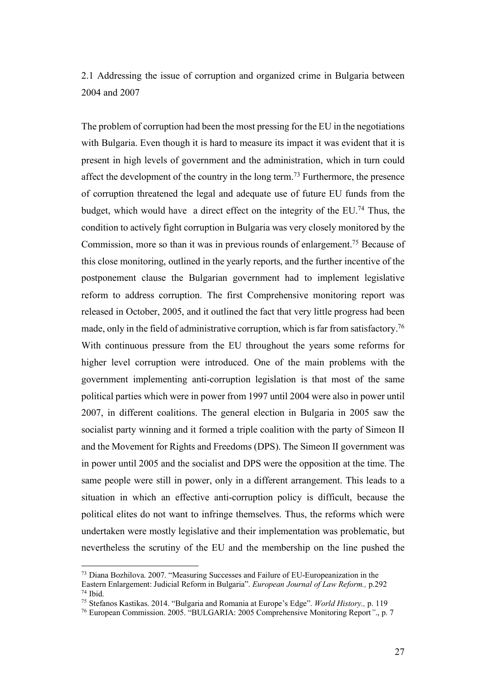2.1 Addressing the issue of corruption and organized crime in Bulgaria between 2004 and 2007

The problem of corruption had been the most pressing for the EU in the negotiations with Bulgaria. Even though it is hard to measure its impact it was evident that it is present in high levels of government and the administration, which in turn could affect the development of the country in the long term.73 Furthermore, the presence of corruption threatened the legal and adequate use of future EU funds from the budget, which would have a direct effect on the integrity of the EU.<sup>74</sup> Thus, the condition to actively fight corruption in Bulgaria was very closely monitored by the Commission, more so than it was in previous rounds of enlargement.75 Because of this close monitoring, outlined in the yearly reports, and the further incentive of the postponement clause the Bulgarian government had to implement legislative reform to address corruption. The first Comprehensive monitoring report was released in October, 2005, and it outlined the fact that very little progress had been made, only in the field of administrative corruption, which is far from satisfactory.<sup>76</sup> With continuous pressure from the EU throughout the years some reforms for higher level corruption were introduced. One of the main problems with the government implementing anti-corruption legislation is that most of the same political parties which were in power from 1997 until 2004 were also in power until 2007, in different coalitions. The general election in Bulgaria in 2005 saw the socialist party winning and it formed a triple coalition with the party of Simeon II and the Movement for Rights and Freedoms (DPS). The Simeon II government was in power until 2005 and the socialist and DPS were the opposition at the time. The same people were still in power, only in a different arrangement. This leads to a situation in which an effective anti-corruption policy is difficult, because the political elites do not want to infringe themselves. Thus, the reforms which were undertaken were mostly legislative and their implementation was problematic, but nevertheless the scrutiny of the EU and the membership on the line pushed the

 <sup>73</sup> Diana Bozhilova. 2007. "Measuring Successes and Failure of EU-Europeanization in the Eastern Enlargement: Judicial Reform in Bulgaria". *European Journal of Law Reform.,* p.292 <sup>74</sup> Ibid.

<sup>75</sup> Stefanos Kastikas. 2014. "Bulgaria and Romania at Europe's Edge". *World History.,* p. 119

<sup>76</sup> European Commission. 2005. "BULGARIA: 2005 Comprehensive Monitoring Report*"*., p. 7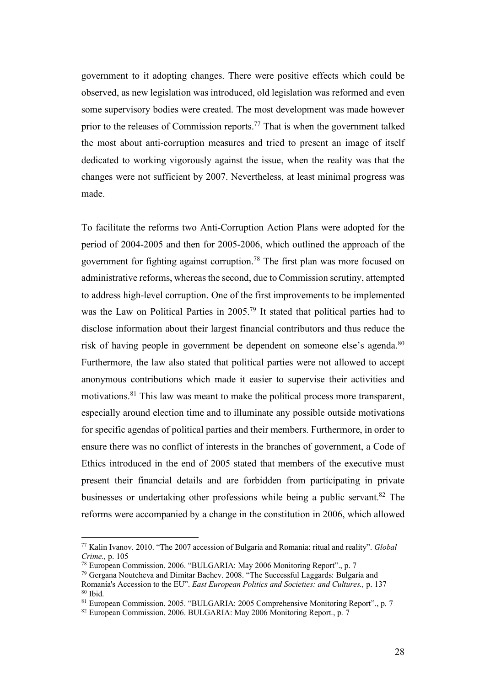government to it adopting changes. There were positive effects which could be observed, as new legislation was introduced, old legislation was reformed and even some supervisory bodies were created. The most development was made however prior to the releases of Commission reports.<sup>77</sup> That is when the government talked the most about anti-corruption measures and tried to present an image of itself dedicated to working vigorously against the issue, when the reality was that the changes were not sufficient by 2007. Nevertheless, at least minimal progress was made.

To facilitate the reforms two Anti-Corruption Action Plans were adopted for the period of 2004-2005 and then for 2005-2006, which outlined the approach of the government for fighting against corruption.78 The first plan was more focused on administrative reforms, whereas the second, due to Commission scrutiny, attempted to address high-level corruption. One of the first improvements to be implemented was the Law on Political Parties in 2005.<sup>79</sup> It stated that political parties had to disclose information about their largest financial contributors and thus reduce the risk of having people in government be dependent on someone else's agenda.<sup>80</sup> Furthermore, the law also stated that political parties were not allowed to accept anonymous contributions which made it easier to supervise their activities and motivations.<sup>81</sup> This law was meant to make the political process more transparent, especially around election time and to illuminate any possible outside motivations for specific agendas of political parties and their members. Furthermore, in order to ensure there was no conflict of interests in the branches of government, a Code of Ethics introduced in the end of 2005 stated that members of the executive must present their financial details and are forbidden from participating in private businesses or undertaking other professions while being a public servant.<sup>82</sup> The reforms were accompanied by a change in the constitution in 2006, which allowed

 <sup>77</sup> Kalin Ivanov. 2010. "The 2007 accession of Bulgaria and Romania: ritual and reality". *Global Crime.,* p. 105

<sup>78</sup> European Commission. 2006. "BULGARIA: May 2006 Monitoring Report"., p. 7

<sup>79</sup> Gergana Noutcheva and Dimitar Bachev. 2008. "The Successful Laggards: Bulgaria and Romania's Accession to the EU". *East European Politics and Societies: and Cultures.,* p. 137 <sup>80</sup> Ibid.

<sup>81</sup> European Commission. 2005. "BULGARIA: 2005 Comprehensive Monitoring Report"., p. 7

 $82$  European Commission. 2006. BULGARIA: May 2006 Monitoring Report., p. 7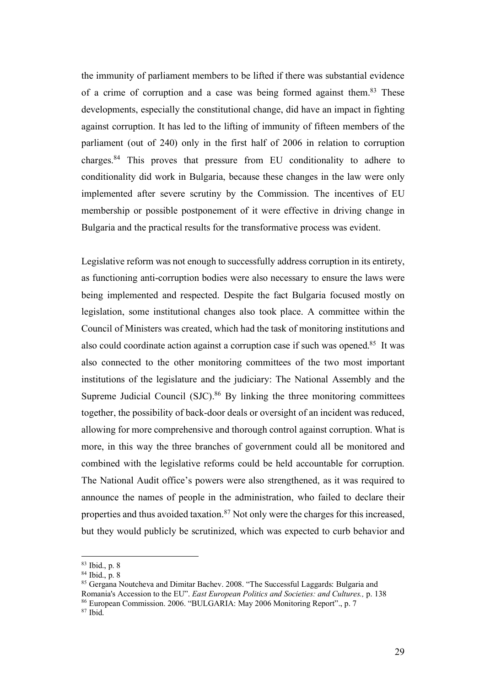the immunity of parliament members to be lifted if there was substantial evidence of a crime of corruption and a case was being formed against them.83 These developments, especially the constitutional change, did have an impact in fighting against corruption. It has led to the lifting of immunity of fifteen members of the parliament (out of 240) only in the first half of 2006 in relation to corruption charges.84 This proves that pressure from EU conditionality to adhere to conditionality did work in Bulgaria, because these changes in the law were only implemented after severe scrutiny by the Commission. The incentives of EU membership or possible postponement of it were effective in driving change in Bulgaria and the practical results for the transformative process was evident.

Legislative reform was not enough to successfully address corruption in its entirety, as functioning anti-corruption bodies were also necessary to ensure the laws were being implemented and respected. Despite the fact Bulgaria focused mostly on legislation, some institutional changes also took place. A committee within the Council of Ministers was created, which had the task of monitoring institutions and also could coordinate action against a corruption case if such was opened. <sup>85</sup> It was also connected to the other monitoring committees of the two most important institutions of the legislature and the judiciary: The National Assembly and the Supreme Judicial Council (SJC).<sup>86</sup> By linking the three monitoring committees together, the possibility of back-door deals or oversight of an incident was reduced, allowing for more comprehensive and thorough control against corruption. What is more, in this way the three branches of government could all be monitored and combined with the legislative reforms could be held accountable for corruption. The National Audit office's powers were also strengthened, as it was required to announce the names of people in the administration, who failed to declare their properties and thus avoided taxation.<sup>87</sup> Not only were the charges for this increased, but they would publicly be scrutinized, which was expected to curb behavior and

 <sup>83</sup> Ibid., p. 8

<sup>84</sup> Ibid., p. 8

<sup>85</sup> Gergana Noutcheva and Dimitar Bachev. 2008. "The Successful Laggards: Bulgaria and Romania's Accession to the EU". *East European Politics and Societies: and Cultures.,* p. 138 <sup>86</sup> European Commission. 2006. "BULGARIA: May 2006 Monitoring Report"., p. 7

 $87$  Ibid.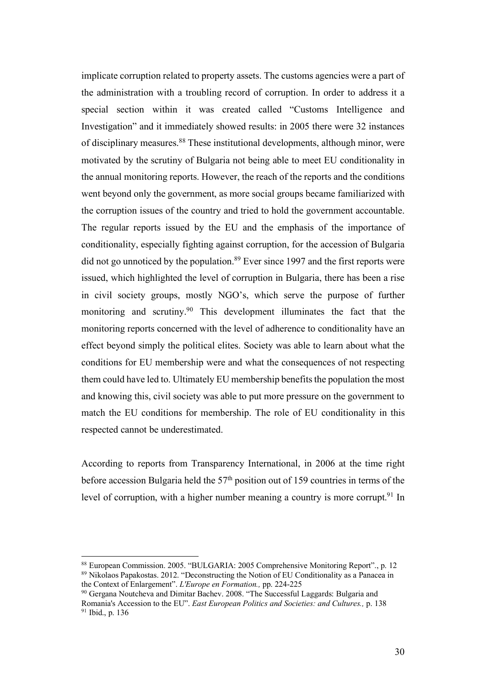implicate corruption related to property assets. The customs agencies were a part of the administration with a troubling record of corruption. In order to address it a special section within it was created called "Customs Intelligence and Investigation" and it immediately showed results: in 2005 there were 32 instances of disciplinary measures.88 These institutional developments, although minor, were motivated by the scrutiny of Bulgaria not being able to meet EU conditionality in the annual monitoring reports. However, the reach of the reports and the conditions went beyond only the government, as more social groups became familiarized with the corruption issues of the country and tried to hold the government accountable. The regular reports issued by the EU and the emphasis of the importance of conditionality, especially fighting against corruption, for the accession of Bulgaria did not go unnoticed by the population.<sup>89</sup> Ever since 1997 and the first reports were issued, which highlighted the level of corruption in Bulgaria, there has been a rise in civil society groups, mostly NGO's, which serve the purpose of further monitoring and scrutiny.90 This development illuminates the fact that the monitoring reports concerned with the level of adherence to conditionality have an effect beyond simply the political elites. Society was able to learn about what the conditions for EU membership were and what the consequences of not respecting them could have led to. Ultimately EU membership benefits the population the most and knowing this, civil society was able to put more pressure on the government to match the EU conditions for membership. The role of EU conditionality in this respected cannot be underestimated.

According to reports from Transparency International, in 2006 at the time right before accession Bulgaria held the  $57<sup>th</sup>$  position out of 159 countries in terms of the level of corruption, with a higher number meaning a country is more corrupt.<sup>91</sup> In

 <sup>88</sup> European Commission. 2005. "BULGARIA: 2005 Comprehensive Monitoring Report"., p. 12 <sup>89</sup> Nikolaos Papakostas. 2012. "Deconstructing the Notion of EU Conditionality as a Panacea in the Context of Enlargement". *L'Europe en Formation.,* pp. 224-225

<sup>90</sup> Gergana Noutcheva and Dimitar Bachev. 2008. "The Successful Laggards: Bulgaria and Romania's Accession to the EU". *East European Politics and Societies: and Cultures.,* p. 138 <sup>91</sup> Ibid., p. 136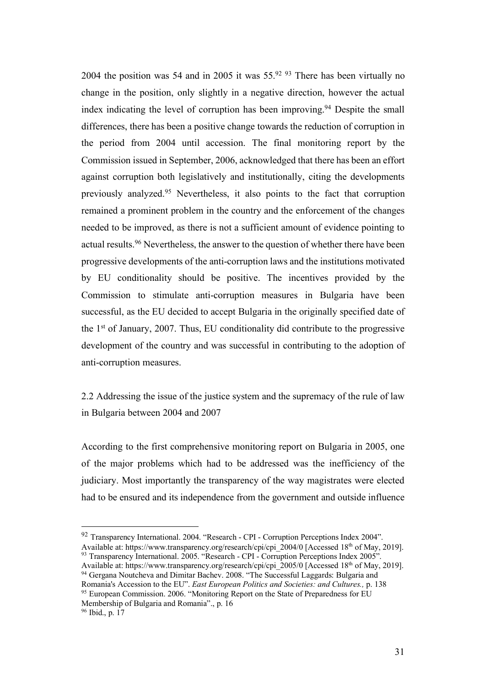2004 the position was 54 and in 2005 it was  $55.9293$  There has been virtually no change in the position, only slightly in a negative direction, however the actual index indicating the level of corruption has been improving.<sup>94</sup> Despite the small differences, there has been a positive change towards the reduction of corruption in the period from 2004 until accession. The final monitoring report by the Commission issued in September, 2006, acknowledged that there has been an effort against corruption both legislatively and institutionally, citing the developments previously analyzed.95 Nevertheless, it also points to the fact that corruption remained a prominent problem in the country and the enforcement of the changes needed to be improved, as there is not a sufficient amount of evidence pointing to actual results.96 Nevertheless, the answer to the question of whether there have been progressive developments of the anti-corruption laws and the institutions motivated by EU conditionality should be positive. The incentives provided by the Commission to stimulate anti-corruption measures in Bulgaria have been successful, as the EU decided to accept Bulgaria in the originally specified date of the 1st of January, 2007. Thus, EU conditionality did contribute to the progressive development of the country and was successful in contributing to the adoption of anti-corruption measures.

2.2 Addressing the issue of the justice system and the supremacy of the rule of law in Bulgaria between 2004 and 2007

According to the first comprehensive monitoring report on Bulgaria in 2005, one of the major problems which had to be addressed was the inefficiency of the judiciary. Most importantly the transparency of the way magistrates were elected had to be ensured and its independence from the government and outside influence

 <sup>92</sup> Transparency International. 2004. "Research - CPI - Corruption Perceptions Index 2004". Available at: https://www.transparency.org/research/cpi/cpi\_2004/0 [Accessed 18<sup>th</sup> of May, 2019].

<sup>93</sup> Transparency International. 2005. "Research - CPI - Corruption Perceptions Index 2005". Available at: https://www.transparency.org/research/cpi/cpi\_2005/0 [Accessed 18<sup>th</sup> of May, 2019]. <sup>94</sup> Gergana Noutcheva and Dimitar Bachev. 2008. "The Successful Laggards: Bulgaria and

Romania's Accession to the EU". *East European Politics and Societies: and Cultures.,* p. 138 <sup>95</sup> European Commission. 2006. "Monitoring Report on the State of Preparedness for EU Membership of Bulgaria and Romania"., p. 16

 $96$  Ibid., p. 17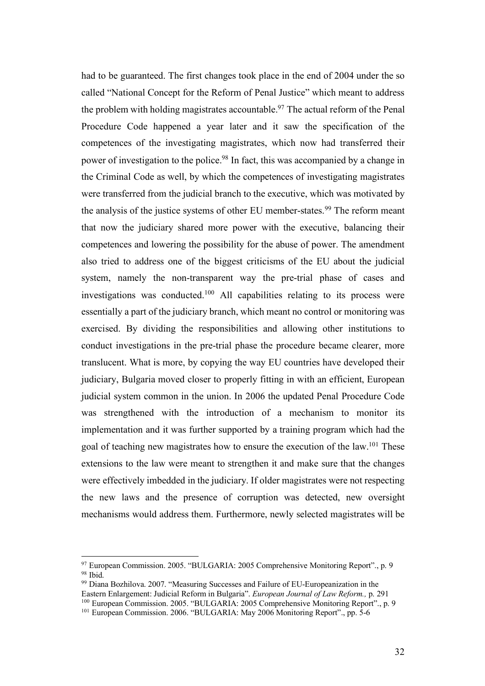had to be guaranteed. The first changes took place in the end of 2004 under the so called "National Concept for the Reform of Penal Justice" which meant to address the problem with holding magistrates accountable.<sup>97</sup> The actual reform of the Penal Procedure Code happened a year later and it saw the specification of the competences of the investigating magistrates, which now had transferred their power of investigation to the police.98 In fact, this was accompanied by a change in the Criminal Code as well, by which the competences of investigating magistrates were transferred from the judicial branch to the executive, which was motivated by the analysis of the justice systems of other EU member-states.<sup>99</sup> The reform meant that now the judiciary shared more power with the executive, balancing their competences and lowering the possibility for the abuse of power. The amendment also tried to address one of the biggest criticisms of the EU about the judicial system, namely the non-transparent way the pre-trial phase of cases and investigations was conducted.100 All capabilities relating to its process were essentially a part of the judiciary branch, which meant no control or monitoring was exercised. By dividing the responsibilities and allowing other institutions to conduct investigations in the pre-trial phase the procedure became clearer, more translucent. What is more, by copying the way EU countries have developed their judiciary, Bulgaria moved closer to properly fitting in with an efficient, European judicial system common in the union. In 2006 the updated Penal Procedure Code was strengthened with the introduction of a mechanism to monitor its implementation and it was further supported by a training program which had the goal of teaching new magistrates how to ensure the execution of the law.101 These extensions to the law were meant to strengthen it and make sure that the changes were effectively imbedded in the judiciary. If older magistrates were not respecting the new laws and the presence of corruption was detected, new oversight mechanisms would address them. Furthermore, newly selected magistrates will be

 $^{97}$  European Commission. 2005. "BULGARIA: 2005 Comprehensive Monitoring Report"., p. 9 $^{98}$  Ibid

<sup>&</sup>lt;sup>99</sup> Diana Bozhilova. 2007. "Measuring Successes and Failure of EU-Europeanization in the Eastern Enlargement: Judicial Reform in Bulgaria". *European Journal of Law Reform.,* p. 291 <sup>100</sup> European Commission. 2005. "BULGARIA: 2005 Comprehensive Monitoring Report"., p. 9

<sup>&</sup>lt;sup>101</sup> European Commission. 2006. "BULGARIA: May 2006 Monitoring Report"., pp. 5-6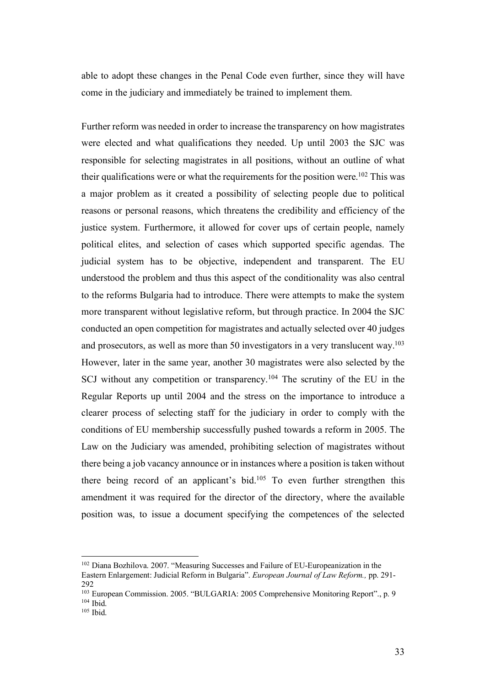able to adopt these changes in the Penal Code even further, since they will have come in the judiciary and immediately be trained to implement them.

Further reform was needed in order to increase the transparency on how magistrates were elected and what qualifications they needed. Up until 2003 the SJC was responsible for selecting magistrates in all positions, without an outline of what their qualifications were or what the requirements for the position were.<sup>102</sup> This was a major problem as it created a possibility of selecting people due to political reasons or personal reasons, which threatens the credibility and efficiency of the justice system. Furthermore, it allowed for cover ups of certain people, namely political elites, and selection of cases which supported specific agendas. The judicial system has to be objective, independent and transparent. The EU understood the problem and thus this aspect of the conditionality was also central to the reforms Bulgaria had to introduce. There were attempts to make the system more transparent without legislative reform, but through practice. In 2004 the SJC conducted an open competition for magistrates and actually selected over 40 judges and prosecutors, as well as more than 50 investigators in a very translucent way. 103 However, later in the same year, another 30 magistrates were also selected by the SCJ without any competition or transparency.104 The scrutiny of the EU in the Regular Reports up until 2004 and the stress on the importance to introduce a clearer process of selecting staff for the judiciary in order to comply with the conditions of EU membership successfully pushed towards a reform in 2005. The Law on the Judiciary was amended, prohibiting selection of magistrates without there being a job vacancy announce or in instances where a position is taken without there being record of an applicant's bid.105 To even further strengthen this amendment it was required for the director of the directory, where the available position was, to issue a document specifying the competences of the selected

 <sup>102</sup> Diana Bozhilova. 2007. "Measuring Successes and Failure of EU-Europeanization in the Eastern Enlargement: Judicial Reform in Bulgaria". *European Journal of Law Reform.,* pp. 291- 292

<sup>103</sup> European Commission. 2005. "BULGARIA: 2005 Comprehensive Monitoring Report"., p. 9  $104$  Ibid.<br> $105$  Ibid.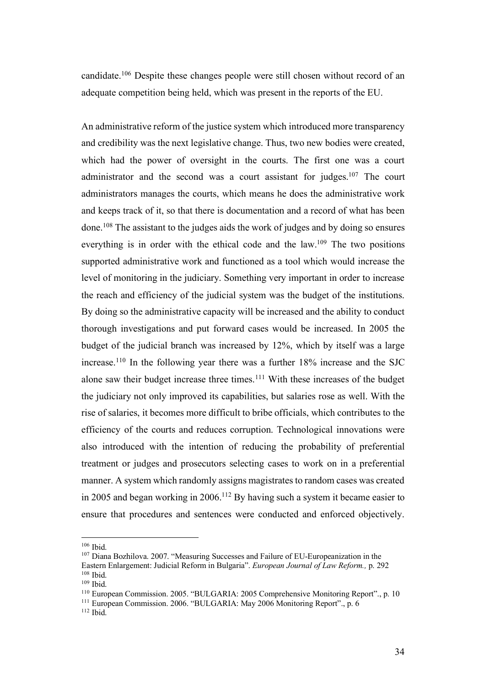candidate.106 Despite these changes people were still chosen without record of an adequate competition being held, which was present in the reports of the EU.

An administrative reform of the justice system which introduced more transparency and credibility was the next legislative change. Thus, two new bodies were created, which had the power of oversight in the courts. The first one was a court administrator and the second was a court assistant for judges.<sup>107</sup> The court administrators manages the courts, which means he does the administrative work and keeps track of it, so that there is documentation and a record of what has been done.108 The assistant to the judges aids the work of judges and by doing so ensures everything is in order with the ethical code and the law.<sup>109</sup> The two positions supported administrative work and functioned as a tool which would increase the level of monitoring in the judiciary. Something very important in order to increase the reach and efficiency of the judicial system was the budget of the institutions. By doing so the administrative capacity will be increased and the ability to conduct thorough investigations and put forward cases would be increased. In 2005 the budget of the judicial branch was increased by 12%, which by itself was a large increase.110 In the following year there was a further 18% increase and the SJC alone saw their budget increase three times.111 With these increases of the budget the judiciary not only improved its capabilities, but salaries rose as well. With the rise of salaries, it becomes more difficult to bribe officials, which contributes to the efficiency of the courts and reduces corruption. Technological innovations were also introduced with the intention of reducing the probability of preferential treatment or judges and prosecutors selecting cases to work on in a preferential manner. A system which randomly assigns magistrates to random cases was created in 2005 and began working in 2006.112 By having such a system it became easier to ensure that procedures and sentences were conducted and enforced objectively.

 <sup>106</sup> Ibid.

<sup>107</sup> Diana Bozhilova. 2007. "Measuring Successes and Failure of EU-Europeanization in the Eastern Enlargement: Judicial Reform in Bulgaria". *European Journal of Law Reform.,* p. 292 <sup>108</sup> Ibid.

<sup>109</sup> Ibid.

<sup>110</sup> European Commission. 2005. "BULGARIA: 2005 Comprehensive Monitoring Report"., p. 10

<sup>&</sup>lt;sup>111</sup> European Commission. 2006. "BULGARIA: May 2006 Monitoring Report"., p. 6

 $112$  Ibid.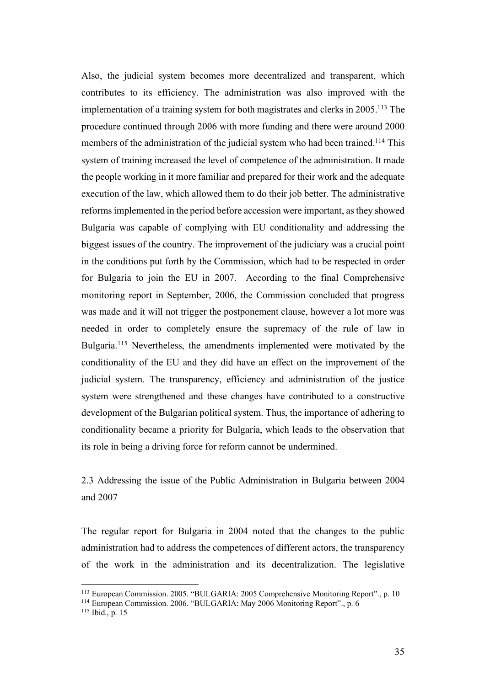Also, the judicial system becomes more decentralized and transparent, which contributes to its efficiency. The administration was also improved with the implementation of a training system for both magistrates and clerks in  $2005$ .<sup>113</sup> The procedure continued through 2006 with more funding and there were around 2000 members of the administration of the judicial system who had been trained.<sup>114</sup> This system of training increased the level of competence of the administration. It made the people working in it more familiar and prepared for their work and the adequate execution of the law, which allowed them to do their job better. The administrative reformsimplemented in the period before accession were important, as they showed Bulgaria was capable of complying with EU conditionality and addressing the biggest issues of the country. The improvement of the judiciary was a crucial point in the conditions put forth by the Commission, which had to be respected in order for Bulgaria to join the EU in 2007. According to the final Comprehensive monitoring report in September, 2006, the Commission concluded that progress was made and it will not trigger the postponement clause, however a lot more was needed in order to completely ensure the supremacy of the rule of law in Bulgaria.<sup>115</sup> Nevertheless, the amendments implemented were motivated by the conditionality of the EU and they did have an effect on the improvement of the judicial system. The transparency, efficiency and administration of the justice system were strengthened and these changes have contributed to a constructive development of the Bulgarian political system. Thus, the importance of adhering to conditionality became a priority for Bulgaria, which leads to the observation that its role in being a driving force for reform cannot be undermined.

2.3 Addressing the issue of the Public Administration in Bulgaria between 2004 and 2007

The regular report for Bulgaria in 2004 noted that the changes to the public administration had to address the competences of different actors, the transparency of the work in the administration and its decentralization. The legislative

 <sup>113</sup> European Commission. 2005. "BULGARIA: 2005 Comprehensive Monitoring Report"., p. 10

<sup>&</sup>lt;sup>114</sup> European Commission. 2006. "BULGARIA: May 2006 Monitoring Report"., p. 6

<sup>115</sup> Ibid., p. 15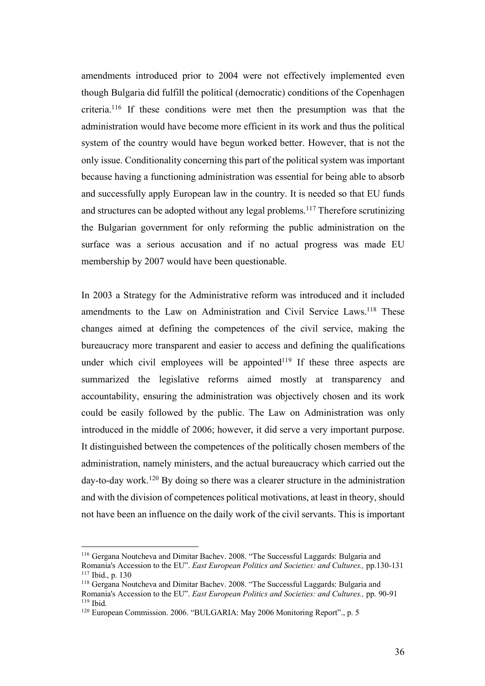amendments introduced prior to 2004 were not effectively implemented even though Bulgaria did fulfill the political (democratic) conditions of the Copenhagen criteria.116 If these conditions were met then the presumption was that the administration would have become more efficient in its work and thus the political system of the country would have begun worked better. However, that is not the only issue. Conditionality concerning this part of the political system was important because having a functioning administration was essential for being able to absorb and successfully apply European law in the country. It is needed so that EU funds and structures can be adopted without any legal problems. <sup>117</sup> Therefore scrutinizing the Bulgarian government for only reforming the public administration on the surface was a serious accusation and if no actual progress was made EU membership by 2007 would have been questionable.

In 2003 a Strategy for the Administrative reform was introduced and it included amendments to the Law on Administration and Civil Service Laws.<sup>118</sup> These changes aimed at defining the competences of the civil service, making the bureaucracy more transparent and easier to access and defining the qualifications under which civil employees will be appointed<sup>119</sup> If these three aspects are summarized the legislative reforms aimed mostly at transparency and accountability, ensuring the administration was objectively chosen and its work could be easily followed by the public. The Law on Administration was only introduced in the middle of 2006; however, it did serve a very important purpose. It distinguished between the competences of the politically chosen members of the administration, namely ministers, and the actual bureaucracy which carried out the day-to-day work.120 By doing so there was a clearer structure in the administration and with the division of competences political motivations, at least in theory, should not have been an influence on the daily work of the civil servants. This is important

 <sup>116</sup> Gergana Noutcheva and Dimitar Bachev. 2008. "The Successful Laggards: Bulgaria and Romania's Accession to the EU". *East European Politics and Societies: and Cultures.,* pp.130-131 <sup>117</sup> Ibid., p. 130

<sup>&</sup>lt;sup>118</sup> Gergana Noutcheva and Dimitar Bachev. 2008. "The Successful Laggards: Bulgaria and Romania's Accession to the EU". *East European Politics and Societies: and Cultures.,* pp. 90-91 <sup>119</sup> Ibid.

<sup>&</sup>lt;sup>120</sup> European Commission. 2006. "BULGARIA: May 2006 Monitoring Report"., p. 5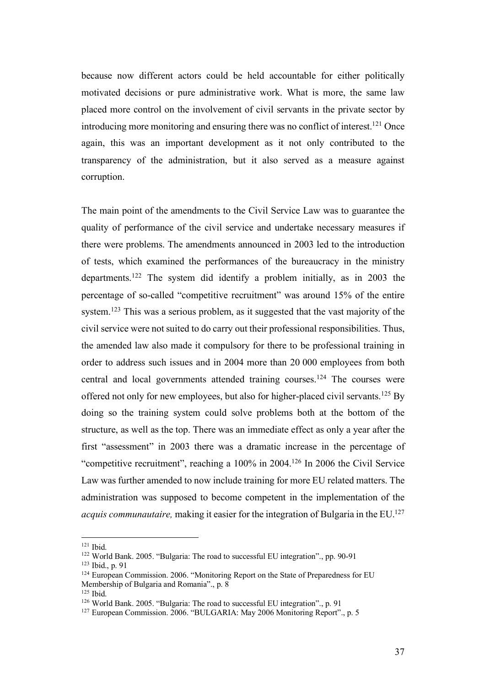because now different actors could be held accountable for either politically motivated decisions or pure administrative work. What is more, the same law placed more control on the involvement of civil servants in the private sector by introducing more monitoring and ensuring there was no conflict of interest.<sup>121</sup> Once again, this was an important development as it not only contributed to the transparency of the administration, but it also served as a measure against corruption.

The main point of the amendments to the Civil Service Law was to guarantee the quality of performance of the civil service and undertake necessary measures if there were problems. The amendments announced in 2003 led to the introduction of tests, which examined the performances of the bureaucracy in the ministry departments.122 The system did identify a problem initially, as in 2003 the percentage of so-called "competitive recruitment" was around 15% of the entire system.123 This was a serious problem, as it suggested that the vast majority of the civil service were not suited to do carry out their professional responsibilities. Thus, the amended law also made it compulsory for there to be professional training in order to address such issues and in 2004 more than 20 000 employees from both central and local governments attended training courses.124 The courses were offered not only for new employees, but also for higher-placed civil servants.<sup>125</sup> By doing so the training system could solve problems both at the bottom of the structure, as well as the top. There was an immediate effect as only a year after the first "assessment" in 2003 there was a dramatic increase in the percentage of "competitive recruitment", reaching a 100% in 2004.126 In 2006 the Civil Service Law was further amended to now include training for more EU related matters. The administration was supposed to become competent in the implementation of the *acquis communautaire,* making it easier for the integration of Bulgaria in the EU.<sup>127</sup>

 <sup>121</sup> Ibid.

<sup>122</sup> World Bank. 2005. "Bulgaria: The road to successful EU integration"., pp. 90-91

<sup>123</sup> Ibid., p. 91

<sup>&</sup>lt;sup>124</sup> European Commission. 2006. "Monitoring Report on the State of Preparedness for EU Membership of Bulgaria and Romania"., p. 8

<sup>125</sup> Ibid.

<sup>126</sup> World Bank. 2005. "Bulgaria: The road to successful EU integration"., p. 91

<sup>&</sup>lt;sup>127</sup> European Commission. 2006. "BULGARIA: May 2006 Monitoring Report"., p. 5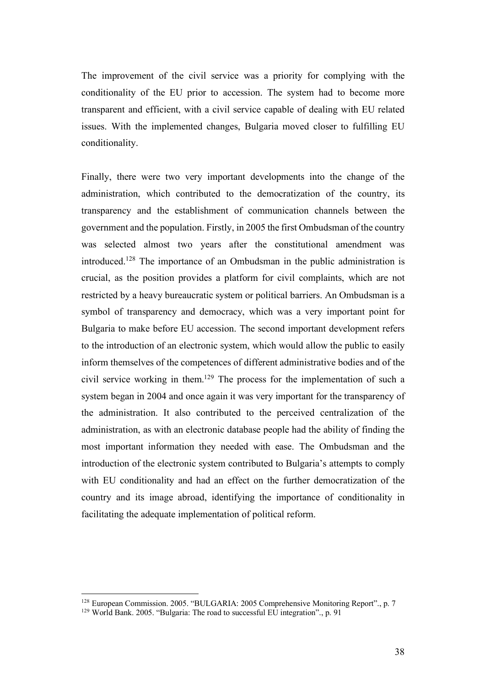The improvement of the civil service was a priority for complying with the conditionality of the EU prior to accession. The system had to become more transparent and efficient, with a civil service capable of dealing with EU related issues. With the implemented changes, Bulgaria moved closer to fulfilling EU conditionality.

Finally, there were two very important developments into the change of the administration, which contributed to the democratization of the country, its transparency and the establishment of communication channels between the government and the population. Firstly, in 2005 the first Ombudsman of the country was selected almost two years after the constitutional amendment was introduced.128 The importance of an Ombudsman in the public administration is crucial, as the position provides a platform for civil complaints, which are not restricted by a heavy bureaucratic system or political barriers. An Ombudsman is a symbol of transparency and democracy, which was a very important point for Bulgaria to make before EU accession. The second important development refers to the introduction of an electronic system, which would allow the public to easily inform themselves of the competences of different administrative bodies and of the civil service working in them.129 The process for the implementation of such a system began in 2004 and once again it was very important for the transparency of the administration. It also contributed to the perceived centralization of the administration, as with an electronic database people had the ability of finding the most important information they needed with ease. The Ombudsman and the introduction of the electronic system contributed to Bulgaria's attempts to comply with EU conditionality and had an effect on the further democratization of the country and its image abroad, identifying the importance of conditionality in facilitating the adequate implementation of political reform.

<sup>&</sup>lt;sup>128</sup> European Commission. 2005. "BULGARIA: 2005 Comprehensive Monitoring Report"., p. 7

<sup>&</sup>lt;sup>129</sup> World Bank. 2005. "Bulgaria: The road to successful EU integration"., p. 91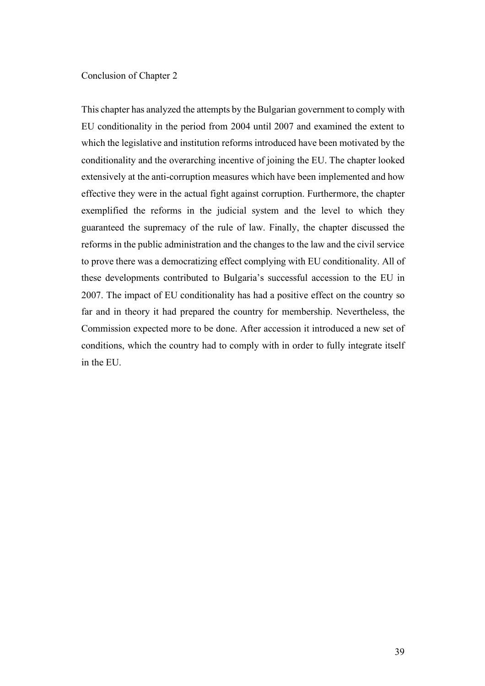### Conclusion of Chapter 2

This chapter has analyzed the attempts by the Bulgarian government to comply with EU conditionality in the period from 2004 until 2007 and examined the extent to which the legislative and institution reforms introduced have been motivated by the conditionality and the overarching incentive of joining the EU. The chapter looked extensively at the anti-corruption measures which have been implemented and how effective they were in the actual fight against corruption. Furthermore, the chapter exemplified the reforms in the judicial system and the level to which they guaranteed the supremacy of the rule of law. Finally, the chapter discussed the reforms in the public administration and the changes to the law and the civil service to prove there was a democratizing effect complying with EU conditionality. All of these developments contributed to Bulgaria's successful accession to the EU in 2007. The impact of EU conditionality has had a positive effect on the country so far and in theory it had prepared the country for membership. Nevertheless, the Commission expected more to be done. After accession it introduced a new set of conditions, which the country had to comply with in order to fully integrate itself in the EU.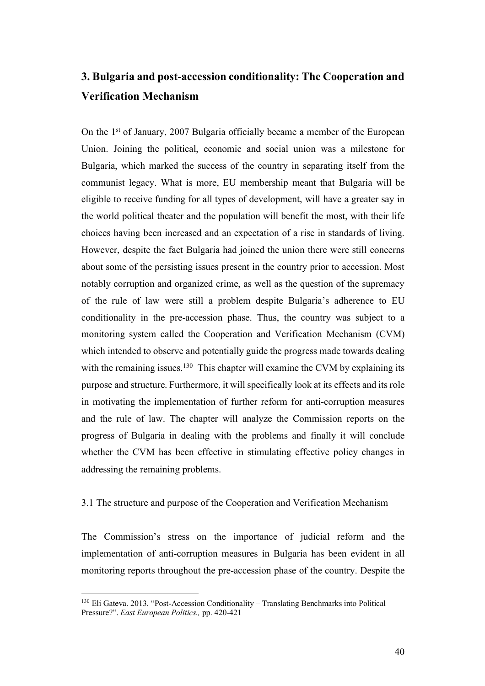## **3. Bulgaria and post-accession conditionality: The Cooperation and Verification Mechanism**

On the 1st of January, 2007 Bulgaria officially became a member of the European Union. Joining the political, economic and social union was a milestone for Bulgaria, which marked the success of the country in separating itself from the communist legacy. What is more, EU membership meant that Bulgaria will be eligible to receive funding for all types of development, will have a greater say in the world political theater and the population will benefit the most, with their life choices having been increased and an expectation of a rise in standards of living. However, despite the fact Bulgaria had joined the union there were still concerns about some of the persisting issues present in the country prior to accession. Most notably corruption and organized crime, as well as the question of the supremacy of the rule of law were still a problem despite Bulgaria's adherence to EU conditionality in the pre-accession phase. Thus, the country was subject to a monitoring system called the Cooperation and Verification Mechanism (CVM) which intended to observe and potentially guide the progress made towards dealing with the remaining issues.<sup>130</sup> This chapter will examine the CVM by explaining its purpose and structure. Furthermore, it will specifically look at its effects and its role in motivating the implementation of further reform for anti-corruption measures and the rule of law. The chapter will analyze the Commission reports on the progress of Bulgaria in dealing with the problems and finally it will conclude whether the CVM has been effective in stimulating effective policy changes in addressing the remaining problems.

### 3.1 The structure and purpose of the Cooperation and Verification Mechanism

The Commission's stress on the importance of judicial reform and the implementation of anti-corruption measures in Bulgaria has been evident in all monitoring reports throughout the pre-accession phase of the country. Despite the

 <sup>130</sup> Eli Gateva. 2013. "Post-Accession Conditionality – Translating Benchmarks into Political Pressure?". *East European Politics.,* pp. 420-421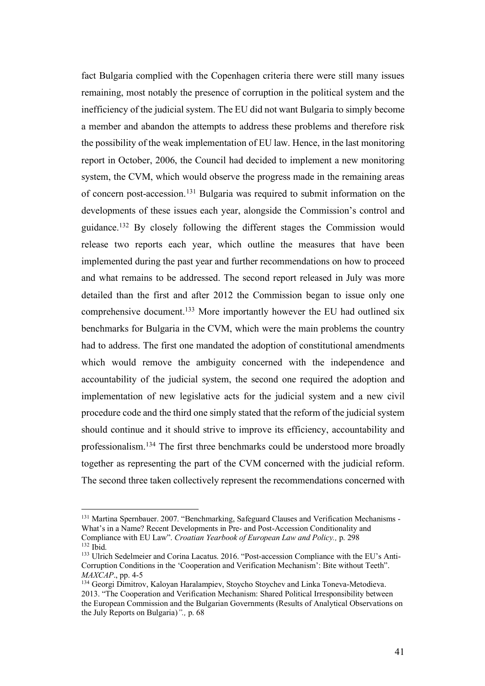fact Bulgaria complied with the Copenhagen criteria there were still many issues remaining, most notably the presence of corruption in the political system and the inefficiency of the judicial system. The EU did not want Bulgaria to simply become a member and abandon the attempts to address these problems and therefore risk the possibility of the weak implementation of EU law. Hence, in the last monitoring report in October, 2006, the Council had decided to implement a new monitoring system, the CVM, which would observe the progress made in the remaining areas of concern post-accession.131 Bulgaria was required to submit information on the developments of these issues each year, alongside the Commission's control and guidance. <sup>132</sup> By closely following the different stages the Commission would release two reports each year, which outline the measures that have been implemented during the past year and further recommendations on how to proceed and what remains to be addressed. The second report released in July was more detailed than the first and after 2012 the Commission began to issue only one comprehensive document. <sup>133</sup> More importantly however the EU had outlined six benchmarks for Bulgaria in the CVM, which were the main problems the country had to address. The first one mandated the adoption of constitutional amendments which would remove the ambiguity concerned with the independence and accountability of the judicial system, the second one required the adoption and implementation of new legislative acts for the judicial system and a new civil procedure code and the third one simply stated that the reform of the judicial system should continue and it should strive to improve its efficiency, accountability and professionalism.134 The first three benchmarks could be understood more broadly together as representing the part of the CVM concerned with the judicial reform. The second three taken collectively represent the recommendations concerned with

<sup>&</sup>lt;sup>131</sup> Martina Spernbauer. 2007. "Benchmarking, Safeguard Clauses and Verification Mechanisms -What's in a Name? Recent Developments in Pre- and Post-Accession Conditionality and Compliance with EU Law". *Croatian Yearbook of European Law and Policy.,* p. 298  $132$  Ibid.

<sup>133</sup> Ulrich Sedelmeier and Corina Lacatus. 2016. "Post-accession Compliance with the EU's Anti-Corruption Conditions in the 'Cooperation and Verification Mechanism': Bite without Teeth". *MAXCAP*., pp. 4-5

<sup>&</sup>lt;sup>134</sup> Georgi Dimitrov, Kaloyan Haralampiev, Stoycho Stoychev and Linka Toneva-Metodieva. 2013. "The Cooperation and Verification Mechanism: Shared Political Irresponsibility between the European Commission and the Bulgarian Governments (Results of Analytical Observations on the July Reports on Bulgaria)*".,* p. 68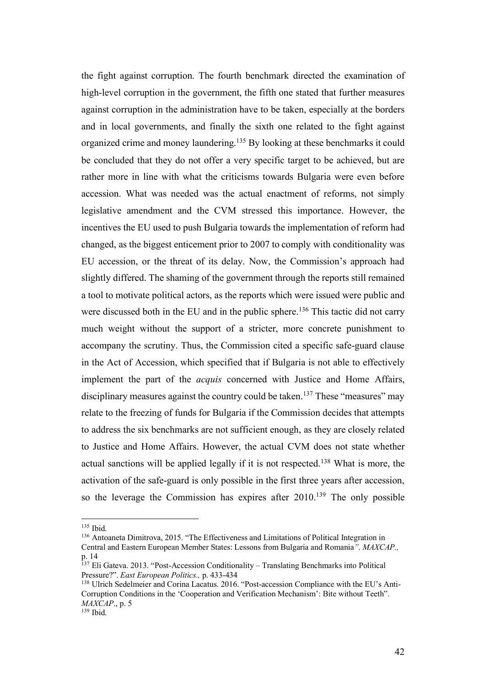the fight against corruption. The fourth benchmark directed the examination of high-level corruption in the government, the fifth one stated that further measures against corruption in the administration have to be taken, especially at the borders and in local governments, and finally the sixth one related to the fight against organized crime and money laundering.135 By looking at these benchmarks it could be concluded that they do not offer a very specific target to be achieved, but are rather more in line with what the criticisms towards Bulgaria were even before accession. What was needed was the actual enactment of reforms, not simply legislative amendment and the CVM stressed this importance. However, the incentives the EU used to push Bulgaria towards the implementation of reform had changed, as the biggest enticement prior to 2007 to comply with conditionality was EU accession, or the threat of its delay. Now, the Commission's approach had slightly differed. The shaming of the government through the reports still remained a tool to motivate political actors, as the reports which were issued were public and were discussed both in the EU and in the public sphere.<sup>136</sup> This tactic did not carry much weight without the support of a stricter, more concrete punishment to accompany the scrutiny. Thus, the Commission cited a specific safe-guard clause in the Act of Accession, which specified that if Bulgaria is not able to effectively implement the part of the *acquis* concerned with Justice and Home Affairs, disciplinary measures against the country could be taken.<sup>137</sup> These "measures" may relate to the freezing of funds for Bulgaria if the Commission decides that attempts to address the six benchmarks are not sufficient enough, as they are closely related to Justice and Home Affairs. However, the actual CVM does not state whether actual sanctions will be applied legally if it is not respected.138 What is more, the activation of the safe-guard is only possible in the first three years after accession, so the leverage the Commission has expires after  $2010^{139}$  The only possible

 $135$  Ibid.

<sup>136</sup> Antoaneta Dimitrova, 2015. "The Effectiveness and Limitations of Political Integration in Central and Eastern European Member States: Lessons from Bulgaria and Romania*"*. *MAXCAP.,* p. 14

<sup>137</sup> Eli Gateva. 2013. "Post-Accession Conditionality – Translating Benchmarks into Political Pressure?". *East European Politics.,* p. 433-434

<sup>138</sup> Ulrich Sedelmeier and Corina Lacatus. 2016. "Post-accession Compliance with the EU's Anti-Corruption Conditions in the 'Cooperation and Verification Mechanism': Bite without Teeth". *MAXCAP*., p. 5

 $139$  Ibid.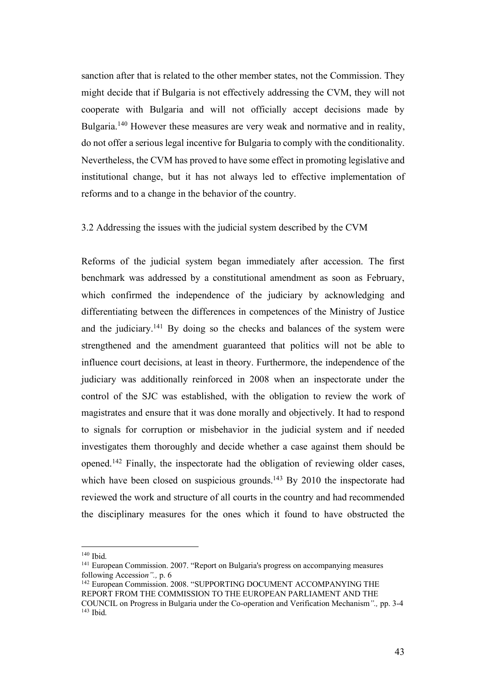sanction after that is related to the other member states, not the Commission. They might decide that if Bulgaria is not effectively addressing the CVM, they will not cooperate with Bulgaria and will not officially accept decisions made by Bulgaria.<sup>140</sup> However these measures are very weak and normative and in reality, do not offer a serious legal incentive for Bulgaria to comply with the conditionality. Nevertheless, the CVM has proved to have some effect in promoting legislative and institutional change, but it has not always led to effective implementation of reforms and to a change in the behavior of the country.

### 3.2 Addressing the issues with the judicial system described by the CVM

Reforms of the judicial system began immediately after accession. The first benchmark was addressed by a constitutional amendment as soon as February, which confirmed the independence of the judiciary by acknowledging and differentiating between the differences in competences of the Ministry of Justice and the judiciary.141 By doing so the checks and balances of the system were strengthened and the amendment guaranteed that politics will not be able to influence court decisions, at least in theory. Furthermore, the independence of the judiciary was additionally reinforced in 2008 when an inspectorate under the control of the SJC was established, with the obligation to review the work of magistrates and ensure that it was done morally and objectively. It had to respond to signals for corruption or misbehavior in the judicial system and if needed investigates them thoroughly and decide whether a case against them should be opened. <sup>142</sup> Finally, the inspectorate had the obligation of reviewing older cases, which have been closed on suspicious grounds.<sup>143</sup> By 2010 the inspectorate had reviewed the work and structure of all courts in the country and had recommended the disciplinary measures for the ones which it found to have obstructed the

 <sup>140</sup> Ibid.

<sup>&</sup>lt;sup>141</sup> European Commission. 2007. "Report on Bulgaria's progress on accompanying measures following Accessio*n".,* p. 6

<sup>&</sup>lt;sup>142</sup> European Commission. 2008. "SUPPORTING DOCUMENT ACCOMPANYING THE REPORT FROM THE COMMISSION TO THE EUROPEAN PARLIAMENT AND THE COUNCIL on Progress in Bulgaria under the Co-operation and Verification Mechanism*".,* pp. 3-4 <sup>143</sup> Ibid.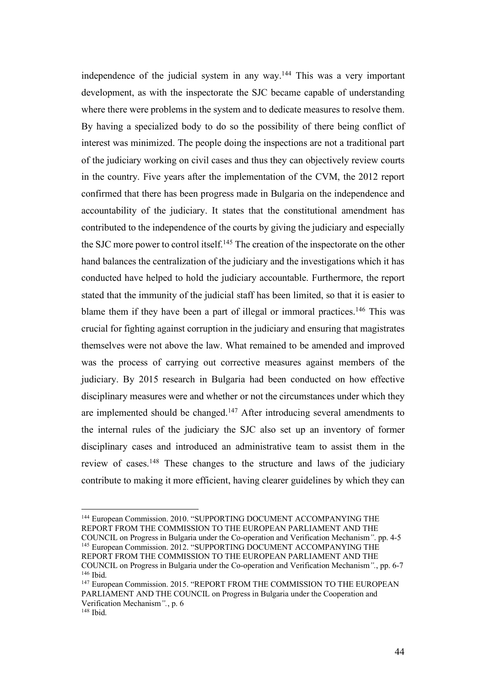independence of the judicial system in any way.144 This was a very important development, as with the inspectorate the SJC became capable of understanding where there were problems in the system and to dedicate measures to resolve them. By having a specialized body to do so the possibility of there being conflict of interest was minimized. The people doing the inspections are not a traditional part of the judiciary working on civil cases and thus they can objectively review courts in the country. Five years after the implementation of the CVM, the 2012 report confirmed that there has been progress made in Bulgaria on the independence and accountability of the judiciary. It states that the constitutional amendment has contributed to the independence of the courts by giving the judiciary and especially the SJC more power to control itself.<sup>145</sup> The creation of the inspectorate on the other hand balances the centralization of the judiciary and the investigations which it has conducted have helped to hold the judiciary accountable. Furthermore, the report stated that the immunity of the judicial staff has been limited, so that it is easier to blame them if they have been a part of illegal or immoral practices.<sup>146</sup> This was crucial for fighting against corruption in the judiciary and ensuring that magistrates themselves were not above the law. What remained to be amended and improved was the process of carrying out corrective measures against members of the judiciary. By 2015 research in Bulgaria had been conducted on how effective disciplinary measures were and whether or not the circumstances under which they are implemented should be changed.147 After introducing several amendments to the internal rules of the judiciary the SJC also set up an inventory of former disciplinary cases and introduced an administrative team to assist them in the review of cases.<sup>148</sup> These changes to the structure and laws of the judiciary contribute to making it more efficient, having clearer guidelines by which they can

<sup>&</sup>lt;sup>144</sup> European Commission. 2010. "SUPPORTING DOCUMENT ACCOMPANYING THE REPORT FROM THE COMMISSION TO THE EUROPEAN PARLIAMENT AND THE

COUNCIL on Progress in Bulgaria under the Co-operation and Verification Mechanism*"*. pp. 4-5 <sup>145</sup> European Commission. 2012. "SUPPORTING DOCUMENT ACCOMPANYING THE REPORT FROM THE COMMISSION TO THE EUROPEAN PARLIAMENT AND THE COUNCIL on Progress in Bulgaria under the Co-operation and Verification Mechanism*".*, pp. 6-7

<sup>146</sup> Ibid.

<sup>&</sup>lt;sup>147</sup> European Commission. 2015. "REPORT FROM THE COMMISSION TO THE EUROPEAN PARLIAMENT AND THE COUNCIL on Progress in Bulgaria under the Cooperation and Verification Mechanism*".*, p. 6

<sup>148</sup> Ibid.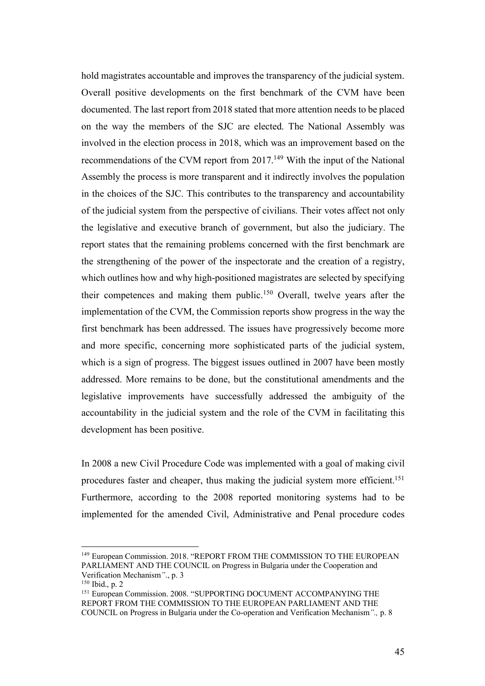hold magistrates accountable and improves the transparency of the judicial system. Overall positive developments on the first benchmark of the CVM have been documented. The last report from 2018 stated that more attention needs to be placed on the way the members of the SJC are elected. The National Assembly was involved in the election process in 2018, which was an improvement based on the recommendations of the CVM report from 2017.149 With the input of the National Assembly the process is more transparent and it indirectly involves the population in the choices of the SJC. This contributes to the transparency and accountability of the judicial system from the perspective of civilians. Their votes affect not only the legislative and executive branch of government, but also the judiciary. The report states that the remaining problems concerned with the first benchmark are the strengthening of the power of the inspectorate and the creation of a registry, which outlines how and why high-positioned magistrates are selected by specifying their competences and making them public.150 Overall, twelve years after the implementation of the CVM, the Commission reports show progress in the way the first benchmark has been addressed. The issues have progressively become more and more specific, concerning more sophisticated parts of the judicial system, which is a sign of progress. The biggest issues outlined in 2007 have been mostly addressed. More remains to be done, but the constitutional amendments and the legislative improvements have successfully addressed the ambiguity of the accountability in the judicial system and the role of the CVM in facilitating this development has been positive.

In 2008 a new Civil Procedure Code was implemented with a goal of making civil procedures faster and cheaper, thus making the judicial system more efficient. 151 Furthermore, according to the 2008 reported monitoring systems had to be implemented for the amended Civil, Administrative and Penal procedure codes

<sup>&</sup>lt;sup>149</sup> European Commission. 2018. "REPORT FROM THE COMMISSION TO THE EUROPEAN PARLIAMENT AND THE COUNCIL on Progress in Bulgaria under the Cooperation and Verification Mechanism*"*., p. 3

<sup>150</sup> Ibid., p. 2

<sup>&</sup>lt;sup>151</sup> European Commission. 2008. "SUPPORTING DOCUMENT ACCOMPANYING THE REPORT FROM THE COMMISSION TO THE EUROPEAN PARLIAMENT AND THE COUNCIL on Progress in Bulgaria under the Co-operation and Verification Mechanism*".,* p. 8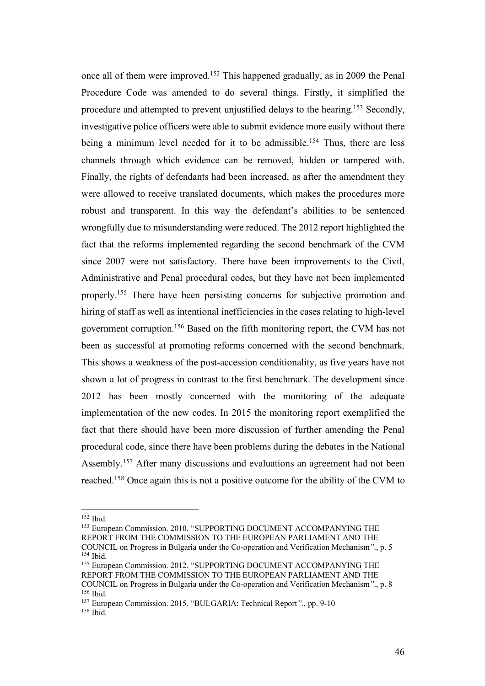once all of them were improved. <sup>152</sup> This happened gradually, as in 2009 the Penal Procedure Code was amended to do several things. Firstly, it simplified the procedure and attempted to prevent unjustified delays to the hearing.153 Secondly, investigative police officers were able to submit evidence more easily without there being a minimum level needed for it to be admissible.<sup>154</sup> Thus, there are less channels through which evidence can be removed, hidden or tampered with. Finally, the rights of defendants had been increased, as after the amendment they were allowed to receive translated documents, which makes the procedures more robust and transparent. In this way the defendant's abilities to be sentenced wrongfully due to misunderstanding were reduced. The 2012 report highlighted the fact that the reforms implemented regarding the second benchmark of the CVM since 2007 were not satisfactory. There have been improvements to the Civil, Administrative and Penal procedural codes, but they have not been implemented properly.155 There have been persisting concerns for subjective promotion and hiring of staff as well as intentional inefficiencies in the cases relating to high-level government corruption.156 Based on the fifth monitoring report, the CVM has not been as successful at promoting reforms concerned with the second benchmark. This shows a weakness of the post-accession conditionality, as five years have not shown a lot of progress in contrast to the first benchmark. The development since 2012 has been mostly concerned with the monitoring of the adequate implementation of the new codes. In 2015 the monitoring report exemplified the fact that there should have been more discussion of further amending the Penal procedural code, since there have been problems during the debates in the National Assembly.<sup>157</sup> After many discussions and evaluations an agreement had not been reached.158 Once again this is not a positive outcome for the ability of the CVM to

 <sup>152</sup> Ibid.

<sup>&</sup>lt;sup>153</sup> European Commission. 2010. "SUPPORTING DOCUMENT ACCOMPANYING THE REPORT FROM THE COMMISSION TO THE EUROPEAN PARLIAMENT AND THE COUNCIL on Progress in Bulgaria under the Co-operation and Verification Mechanism*"*., p. 5 <sup>154</sup> Ibid.

<sup>&</sup>lt;sup>155</sup> European Commission. 2012. "SUPPORTING DOCUMENT ACCOMPANYING THE REPORT FROM THE COMMISSION TO THE EUROPEAN PARLIAMENT AND THE COUNCIL on Progress in Bulgaria under the Co-operation and Verification Mechanism*"*., p. 8 <sup>156</sup> Ibid.

<sup>157</sup> European Commission. 2015. "BULGARIA: Technical Report*"*., pp. 9-10 <sup>158</sup> Ibid.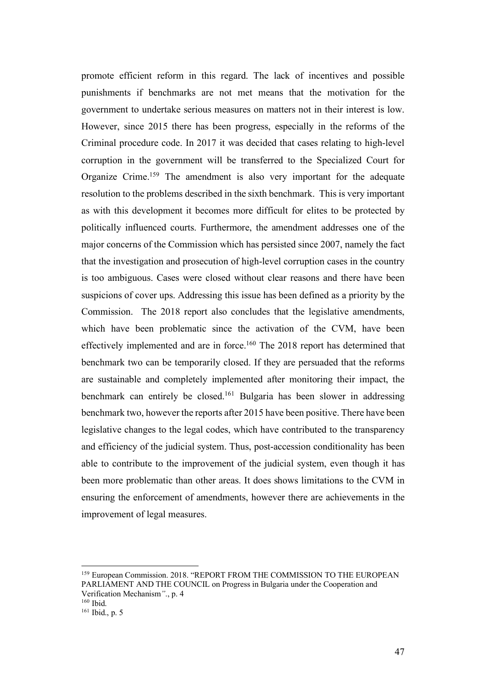promote efficient reform in this regard. The lack of incentives and possible punishments if benchmarks are not met means that the motivation for the government to undertake serious measures on matters not in their interest is low. However, since 2015 there has been progress, especially in the reforms of the Criminal procedure code. In 2017 it was decided that cases relating to high-level corruption in the government will be transferred to the Specialized Court for Organize Crime.159 The amendment is also very important for the adequate resolution to the problems described in the sixth benchmark. This is very important as with this development it becomes more difficult for elites to be protected by politically influenced courts. Furthermore, the amendment addresses one of the major concerns of the Commission which has persisted since 2007, namely the fact that the investigation and prosecution of high-level corruption cases in the country is too ambiguous. Cases were closed without clear reasons and there have been suspicions of cover ups. Addressing this issue has been defined as a priority by the Commission. The 2018 report also concludes that the legislative amendments, which have been problematic since the activation of the CVM, have been effectively implemented and are in force.<sup>160</sup> The 2018 report has determined that benchmark two can be temporarily closed. If they are persuaded that the reforms are sustainable and completely implemented after monitoring their impact, the benchmark can entirely be closed.161 Bulgaria has been slower in addressing benchmark two, however the reports after 2015 have been positive. There have been legislative changes to the legal codes, which have contributed to the transparency and efficiency of the judicial system. Thus, post-accession conditionality has been able to contribute to the improvement of the judicial system, even though it has been more problematic than other areas. It does shows limitations to the CVM in ensuring the enforcement of amendments, however there are achievements in the improvement of legal measures.

<sup>&</sup>lt;sup>159</sup> European Commission. 2018. "REPORT FROM THE COMMISSION TO THE EUROPEAN PARLIAMENT AND THE COUNCIL on Progress in Bulgaria under the Cooperation and Verification Mechanism*"*., p. 4

<sup>160</sup> Ibid.

<sup>161</sup> Ibid., p. 5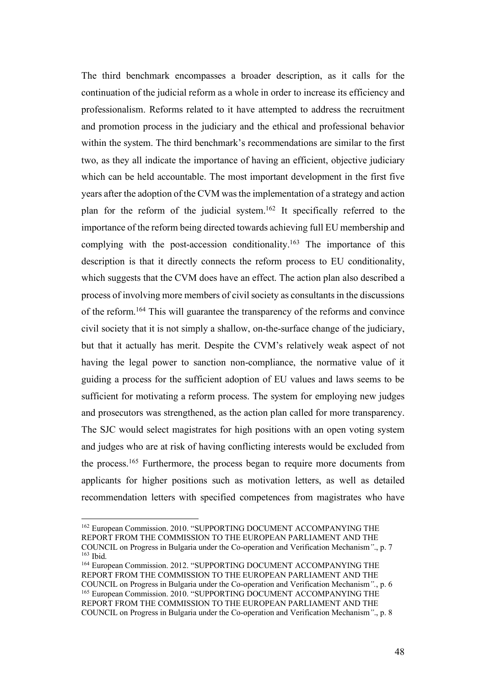The third benchmark encompasses a broader description, as it calls for the continuation of the judicial reform as a whole in order to increase its efficiency and professionalism. Reforms related to it have attempted to address the recruitment and promotion process in the judiciary and the ethical and professional behavior within the system. The third benchmark's recommendations are similar to the first two, as they all indicate the importance of having an efficient, objective judiciary which can be held accountable. The most important development in the first five years after the adoption of the CVM was the implementation of a strategy and action plan for the reform of the judicial system.162 It specifically referred to the importance of the reform being directed towards achieving full EU membership and complying with the post-accession conditionality.<sup>163</sup> The importance of this description is that it directly connects the reform process to EU conditionality, which suggests that the CVM does have an effect. The action plan also described a process of involving more members of civil society as consultants in the discussions of the reform. <sup>164</sup> This will guarantee the transparency of the reforms and convince civil society that it is not simply a shallow, on-the-surface change of the judiciary, but that it actually has merit. Despite the CVM's relatively weak aspect of not having the legal power to sanction non-compliance, the normative value of it guiding a process for the sufficient adoption of EU values and laws seems to be sufficient for motivating a reform process. The system for employing new judges and prosecutors was strengthened, as the action plan called for more transparency. The SJC would select magistrates for high positions with an open voting system and judges who are at risk of having conflicting interests would be excluded from the process.165 Furthermore, the process began to require more documents from applicants for higher positions such as motivation letters, as well as detailed recommendation letters with specified competences from magistrates who have

<sup>&</sup>lt;sup>162</sup> European Commission. 2010. "SUPPORTING DOCUMENT ACCOMPANYING THE REPORT FROM THE COMMISSION TO THE EUROPEAN PARLIAMENT AND THE COUNCIL on Progress in Bulgaria under the Co-operation and Verification Mechanism*"*., p. 7 <sup>163</sup> Ibid.

<sup>&</sup>lt;sup>164</sup> European Commission. 2012. "SUPPORTING DOCUMENT ACCOMPANYING THE REPORT FROM THE COMMISSION TO THE EUROPEAN PARLIAMENT AND THE COUNCIL on Progress in Bulgaria under the Co-operation and Verification Mechanism*".*, p. 6 <sup>165</sup> European Commission. 2010. "SUPPORTING DOCUMENT ACCOMPANYING THE REPORT FROM THE COMMISSION TO THE EUROPEAN PARLIAMENT AND THE COUNCIL on Progress in Bulgaria under the Co-operation and Verification Mechanism*"*., p. 8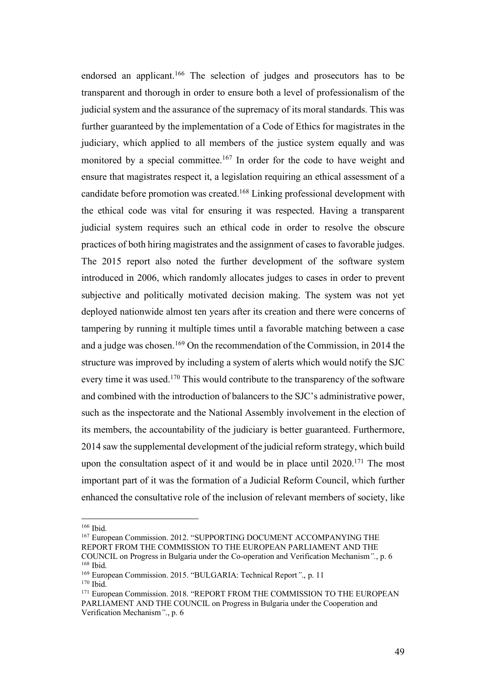endorsed an applicant.<sup>166</sup> The selection of judges and prosecutors has to be transparent and thorough in order to ensure both a level of professionalism of the judicial system and the assurance of the supremacy of its moral standards. This was further guaranteed by the implementation of a Code of Ethics for magistrates in the judiciary, which applied to all members of the justice system equally and was monitored by a special committee.<sup>167</sup> In order for the code to have weight and ensure that magistrates respect it, a legislation requiring an ethical assessment of a candidate before promotion was created. <sup>168</sup> Linking professional development with the ethical code was vital for ensuring it was respected. Having a transparent judicial system requires such an ethical code in order to resolve the obscure practices of both hiring magistrates and the assignment of cases to favorable judges. The 2015 report also noted the further development of the software system introduced in 2006, which randomly allocates judges to cases in order to prevent subjective and politically motivated decision making. The system was not yet deployed nationwide almost ten years after its creation and there were concerns of tampering by running it multiple times until a favorable matching between a case and a judge was chosen.169 On the recommendation of the Commission, in 2014 the structure was improved by including a system of alerts which would notify the SJC every time it was used.<sup>170</sup> This would contribute to the transparency of the software and combined with the introduction of balancers to the SJC's administrative power, such as the inspectorate and the National Assembly involvement in the election of its members, the accountability of the judiciary is better guaranteed. Furthermore, 2014 saw the supplemental development of the judicial reform strategy, which build upon the consultation aspect of it and would be in place until 2020.<sup>171</sup> The most important part of it was the formation of a Judicial Reform Council, which further enhanced the consultative role of the inclusion of relevant members of society, like

 $166$  Ibid.

<sup>167</sup> European Commission. 2012. "SUPPORTING DOCUMENT ACCOMPANYING THE REPORT FROM THE COMMISSION TO THE EUROPEAN PARLIAMENT AND THE COUNCIL on Progress in Bulgaria under the Co-operation and Verification Mechanism*".*, p. 6 <sup>168</sup> Ibid.

<sup>169</sup> European Commission. 2015. "BULGARIA: Technical Report*"*., p. 11

<sup>170</sup> Ibid.

<sup>&</sup>lt;sup>171</sup> European Commission. 2018. "REPORT FROM THE COMMISSION TO THE EUROPEAN PARLIAMENT AND THE COUNCIL on Progress in Bulgaria under the Cooperation and Verification Mechanism*"*., p. 6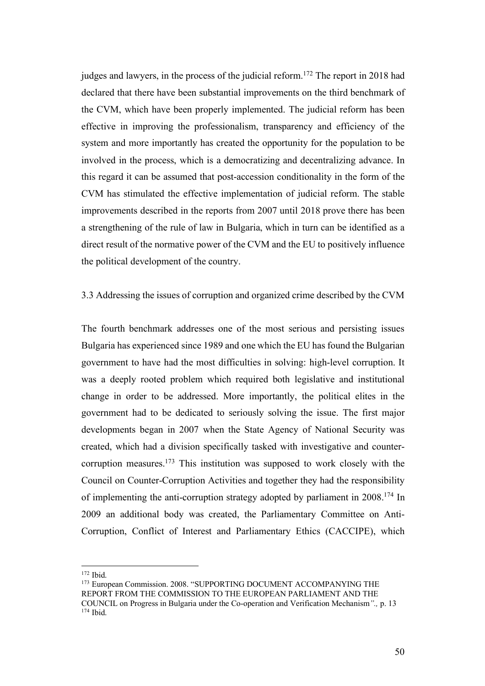judges and lawyers, in the process of the judicial reform. <sup>172</sup> The report in 2018 had declared that there have been substantial improvements on the third benchmark of the CVM, which have been properly implemented. The judicial reform has been effective in improving the professionalism, transparency and efficiency of the system and more importantly has created the opportunity for the population to be involved in the process, which is a democratizing and decentralizing advance. In this regard it can be assumed that post-accession conditionality in the form of the CVM has stimulated the effective implementation of judicial reform. The stable improvements described in the reports from 2007 until 2018 prove there has been a strengthening of the rule of law in Bulgaria, which in turn can be identified as a direct result of the normative power of the CVM and the EU to positively influence the political development of the country.

### 3.3 Addressing the issues of corruption and organized crime described by the CVM

The fourth benchmark addresses one of the most serious and persisting issues Bulgaria has experienced since 1989 and one which the EU has found the Bulgarian government to have had the most difficulties in solving: high-level corruption. It was a deeply rooted problem which required both legislative and institutional change in order to be addressed. More importantly, the political elites in the government had to be dedicated to seriously solving the issue. The first major developments began in 2007 when the State Agency of National Security was created, which had a division specifically tasked with investigative and countercorruption measures.173 This institution was supposed to work closely with the Council on Counter-Corruption Activities and together they had the responsibility of implementing the anti-corruption strategy adopted by parliament in 2008.174 In 2009 an additional body was created, the Parliamentary Committee on Anti-Corruption, Conflict of Interest and Parliamentary Ethics (CACCIPE), which

 $172$  Ibid.

<sup>&</sup>lt;sup>173</sup> European Commission. 2008. "SUPPORTING DOCUMENT ACCOMPANYING THE REPORT FROM THE COMMISSION TO THE EUROPEAN PARLIAMENT AND THE COUNCIL on Progress in Bulgaria under the Co-operation and Verification Mechanism*".,* p. 13 <sup>174</sup> Ibid.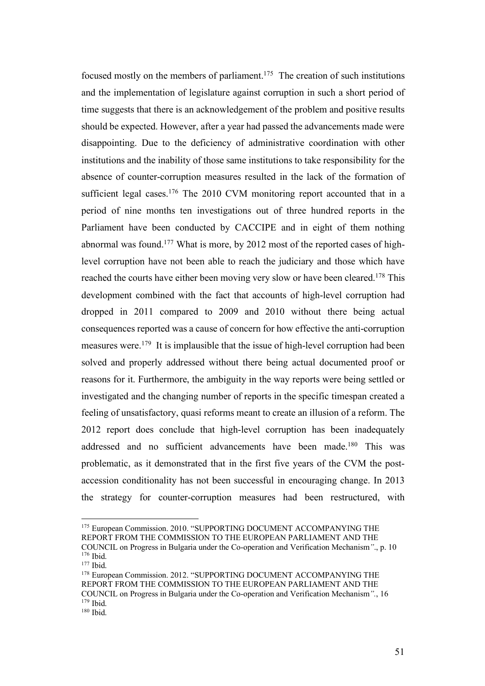focused mostly on the members of parliament.175 The creation of such institutions and the implementation of legislature against corruption in such a short period of time suggests that there is an acknowledgement of the problem and positive results should be expected. However, after a year had passed the advancements made were disappointing. Due to the deficiency of administrative coordination with other institutions and the inability of those same institutions to take responsibility for the absence of counter-corruption measures resulted in the lack of the formation of sufficient legal cases.<sup>176</sup> The 2010 CVM monitoring report accounted that in a period of nine months ten investigations out of three hundred reports in the Parliament have been conducted by CACCIPE and in eight of them nothing abnormal was found.177 What is more, by 2012 most of the reported cases of highlevel corruption have not been able to reach the judiciary and those which have reached the courts have either been moving very slow or have been cleared.<sup>178</sup> This development combined with the fact that accounts of high-level corruption had dropped in 2011 compared to 2009 and 2010 without there being actual consequences reported was a cause of concern for how effective the anti-corruption measures were.<sup>179</sup> It is implausible that the issue of high-level corruption had been solved and properly addressed without there being actual documented proof or reasons for it. Furthermore, the ambiguity in the way reports were being settled or investigated and the changing number of reports in the specific timespan created a feeling of unsatisfactory, quasi reforms meant to create an illusion of a reform. The 2012 report does conclude that high-level corruption has been inadequately addressed and no sufficient advancements have been made.<sup>180</sup> This was problematic, as it demonstrated that in the first five years of the CVM the postaccession conditionality has not been successful in encouraging change. In 2013 the strategy for counter-corruption measures had been restructured, with

<sup>&</sup>lt;sup>175</sup> European Commission. 2010. "SUPPORTING DOCUMENT ACCOMPANYING THE REPORT FROM THE COMMISSION TO THE EUROPEAN PARLIAMENT AND THE

COUNCIL on Progress in Bulgaria under the Co-operation and Verification Mechanism*"*., p. 10 <sup>176</sup> Ibid.

<sup>177</sup> Ibid.

<sup>&</sup>lt;sup>178</sup> European Commission. 2012. "SUPPORTING DOCUMENT ACCOMPANYING THE REPORT FROM THE COMMISSION TO THE EUROPEAN PARLIAMENT AND THE COUNCIL on Progress in Bulgaria under the Co-operation and Verification Mechanism*".*, 16  $179$  Ibid.

<sup>180</sup> Ibid.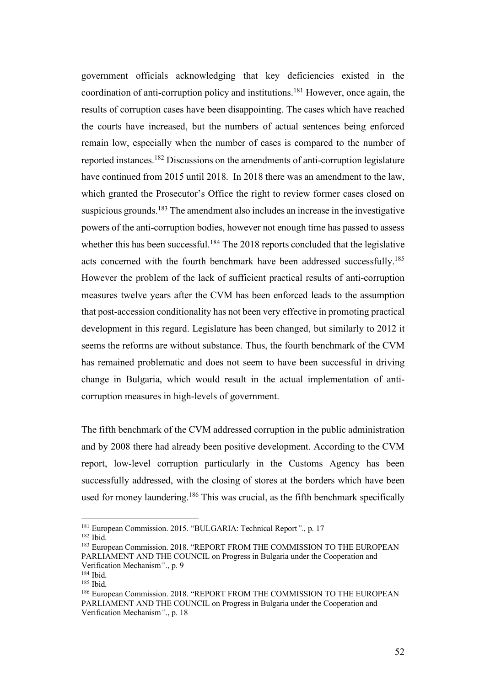government officials acknowledging that key deficiencies existed in the coordination of anti-corruption policy and institutions.181 However, once again, the results of corruption cases have been disappointing. The cases which have reached the courts have increased, but the numbers of actual sentences being enforced remain low, especially when the number of cases is compared to the number of reported instances.182 Discussions on the amendments of anti-corruption legislature have continued from 2015 until 2018. In 2018 there was an amendment to the law, which granted the Prosecutor's Office the right to review former cases closed on suspicious grounds.<sup>183</sup> The amendment also includes an increase in the investigative powers of the anti-corruption bodies, however not enough time has passed to assess whether this has been successful.<sup>184</sup> The 2018 reports concluded that the legislative acts concerned with the fourth benchmark have been addressed successfully.<sup>185</sup> However the problem of the lack of sufficient practical results of anti-corruption measures twelve years after the CVM has been enforced leads to the assumption that post-accession conditionality has not been very effective in promoting practical development in this regard. Legislature has been changed, but similarly to 2012 it seems the reforms are without substance. Thus, the fourth benchmark of the CVM has remained problematic and does not seem to have been successful in driving change in Bulgaria, which would result in the actual implementation of anticorruption measures in high-levels of government.

The fifth benchmark of the CVM addressed corruption in the public administration and by 2008 there had already been positive development. According to the CVM report, low-level corruption particularly in the Customs Agency has been successfully addressed, with the closing of stores at the borders which have been used for money laundering.<sup>186</sup> This was crucial, as the fifth benchmark specifically

 <sup>181</sup> European Commission. 2015. "BULGARIA: Technical Report*".*, p. 17

<sup>182</sup> Ibid.

<sup>&</sup>lt;sup>183</sup> European Commission. 2018. "REPORT FROM THE COMMISSION TO THE EUROPEAN PARLIAMENT AND THE COUNCIL on Progress in Bulgaria under the Cooperation and Verification Mechanism*"*., p. 9

<sup>184</sup> Ibid.

<sup>185</sup> Ibid.

<sup>186</sup> European Commission. 2018. "REPORT FROM THE COMMISSION TO THE EUROPEAN PARLIAMENT AND THE COUNCIL on Progress in Bulgaria under the Cooperation and Verification Mechanism*"*., p. 18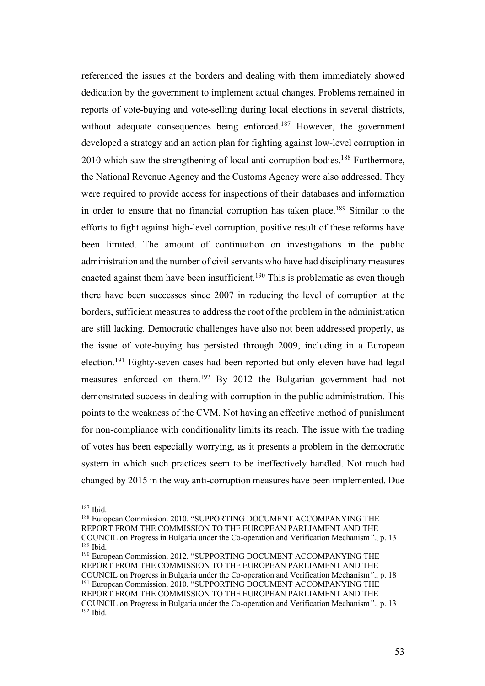referenced the issues at the borders and dealing with them immediately showed dedication by the government to implement actual changes. Problems remained in reports of vote-buying and vote-selling during local elections in several districts, without adequate consequences being enforced.<sup>187</sup> However, the government developed a strategy and an action plan for fighting against low-level corruption in 2010 which saw the strengthening of local anti-corruption bodies.<sup>188</sup> Furthermore, the National Revenue Agency and the Customs Agency were also addressed. They were required to provide access for inspections of their databases and information in order to ensure that no financial corruption has taken place.<sup>189</sup> Similar to the efforts to fight against high-level corruption, positive result of these reforms have been limited. The amount of continuation on investigations in the public administration and the number of civil servants who have had disciplinary measures enacted against them have been insufficient.<sup>190</sup> This is problematic as even though there have been successes since 2007 in reducing the level of corruption at the borders, sufficient measures to address the root of the problem in the administration are still lacking. Democratic challenges have also not been addressed properly, as the issue of vote-buying has persisted through 2009, including in a European election.191 Eighty-seven cases had been reported but only eleven have had legal measures enforced on them.192 By 2012 the Bulgarian government had not demonstrated success in dealing with corruption in the public administration. This points to the weakness of the CVM. Not having an effective method of punishment for non-compliance with conditionality limits its reach. The issue with the trading of votes has been especially worrying, as it presents a problem in the democratic system in which such practices seem to be ineffectively handled. Not much had changed by 2015 in the way anti-corruption measures have been implemented. Due

<sup>188</sup> European Commission. 2010. "SUPPORTING DOCUMENT ACCOMPANYING THE REPORT FROM THE COMMISSION TO THE EUROPEAN PARLIAMENT AND THE COUNCIL on Progress in Bulgaria under the Co-operation and Verification Mechanism*"*., p. 13 <sup>189</sup> Ibid.

 <sup>187</sup> Ibid.

<sup>&</sup>lt;sup>190</sup> European Commission. 2012. "SUPPORTING DOCUMENT ACCOMPANYING THE REPORT FROM THE COMMISSION TO THE EUROPEAN PARLIAMENT AND THE COUNCIL on Progress in Bulgaria under the Co-operation and Verification Mechanism*"*., p. 18  $191$  European Commission. 2010. "SUPPORTING DOCUMENT ACCOMPANYING THE REPORT FROM THE COMMISSION TO THE EUROPEAN PARLIAMENT AND THE COUNCIL on Progress in Bulgaria under the Co-operation and Verification Mechanism*"*., p. 13 <sup>192</sup> Ibid.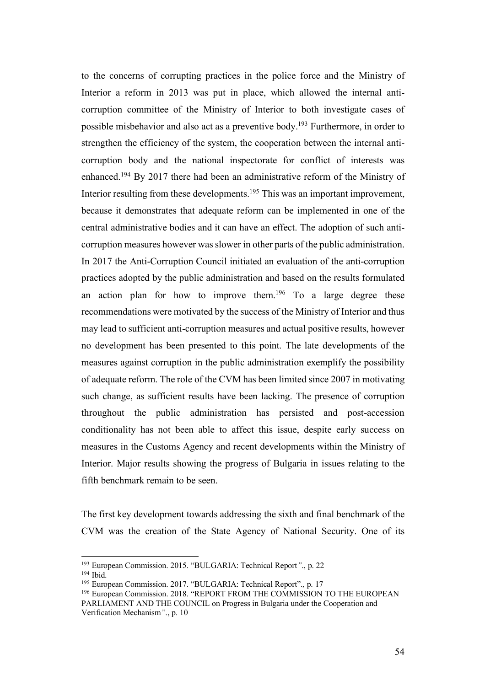to the concerns of corrupting practices in the police force and the Ministry of Interior a reform in 2013 was put in place, which allowed the internal anticorruption committee of the Ministry of Interior to both investigate cases of possible misbehavior and also act as a preventive body.193 Furthermore, in order to strengthen the efficiency of the system, the cooperation between the internal anticorruption body and the national inspectorate for conflict of interests was enhanced.194 By 2017 there had been an administrative reform of the Ministry of Interior resulting from these developments.<sup>195</sup> This was an important improvement, because it demonstrates that adequate reform can be implemented in one of the central administrative bodies and it can have an effect. The adoption of such anticorruption measures however was slower in other parts of the public administration. In 2017 the Anti-Corruption Council initiated an evaluation of the anti-corruption practices adopted by the public administration and based on the results formulated an action plan for how to improve them.<sup>196</sup> To a large degree these recommendations were motivated by the success of the Ministry of Interior and thus may lead to sufficient anti-corruption measures and actual positive results, however no development has been presented to this point. The late developments of the measures against corruption in the public administration exemplify the possibility of adequate reform. The role of the CVM has been limited since 2007 in motivating such change, as sufficient results have been lacking. The presence of corruption throughout the public administration has persisted and post-accession conditionality has not been able to affect this issue, despite early success on measures in the Customs Agency and recent developments within the Ministry of Interior. Major results showing the progress of Bulgaria in issues relating to the fifth benchmark remain to be seen.

The first key development towards addressing the sixth and final benchmark of the CVM was the creation of the State Agency of National Security. One of its

 <sup>193</sup> European Commission. 2015. "BULGARIA: Technical Report*"*., p. 22

<sup>194</sup> Ibid.

<sup>195</sup> European Commission. 2017. "BULGARIA: Technical Report".*,* p. 17

<sup>&</sup>lt;sup>196</sup> European Commission. 2018. "REPORT FROM THE COMMISSION TO THE EUROPEAN PARLIAMENT AND THE COUNCIL on Progress in Bulgaria under the Cooperation and Verification Mechanism*"*., p. 10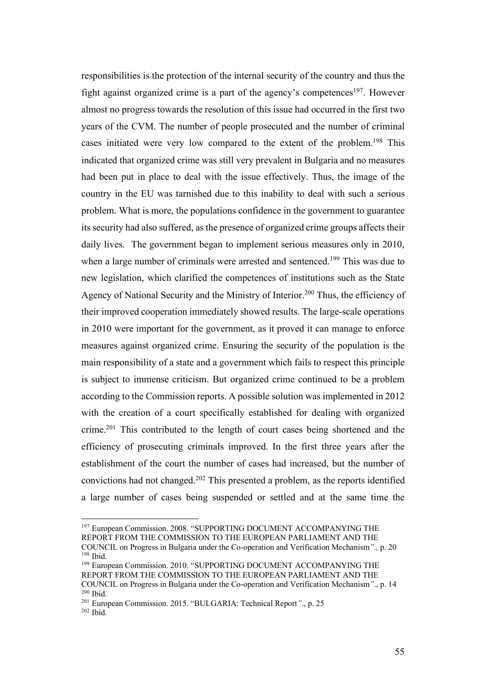responsibilities is the protection of the internal security of the country and thus the fight against organized crime is a part of the agency's competences<sup>197</sup>. However almost no progress towards the resolution of this issue had occurred in the first two years of the CVM. The number of people prosecuted and the number of criminal cases initiated were very low compared to the extent of the problem.198 This indicated that organized crime was still very prevalent in Bulgaria and no measures had been put in place to deal with the issue effectively. Thus, the image of the country in the EU was tarnished due to this inability to deal with such a serious problem. What is more, the populations confidence in the government to guarantee its security had also suffered, as the presence of organized crime groups affects their daily lives. The government began to implement serious measures only in 2010, when a large number of criminals were arrested and sentenced.<sup>199</sup> This was due to new legislation, which clarified the competences of institutions such as the State Agency of National Security and the Ministry of Interior. <sup>200</sup> Thus, the efficiency of their improved cooperation immediately showed results. The large-scale operations in 2010 were important for the government, as it proved it can manage to enforce measures against organized crime. Ensuring the security of the population is the main responsibility of a state and a government which fails to respect this principle is subject to immense criticism. But organized crime continued to be a problem according to the Commission reports. A possible solution was implemented in 2012 with the creation of a court specifically established for dealing with organized crime.201 This contributed to the length of court cases being shortened and the efficiency of prosecuting criminals improved. In the first three years after the establishment of the court the number of cases had increased, but the number of convictions had not changed.202 This presented a problem, as the reports identified a large number of cases being suspended or settled and at the same time the

<sup>&</sup>lt;sup>197</sup> European Commission. 2008. "SUPPORTING DOCUMENT ACCOMPANYING THE REPORT FROM THE COMMISSION TO THE EUROPEAN PARLIAMENT AND THE COUNCIL on Progress in Bulgaria under the Co-operation and Verification Mechanism*".,* p. 20

<sup>198</sup> Ibid. <sup>199</sup> European Commission. 2010. "SUPPORTING DOCUMENT ACCOMPANYING THE REPORT FROM THE COMMISSION TO THE EUROPEAN PARLIAMENT AND THE

COUNCIL on Progress in Bulgaria under the Co-operation and Verification Mechanism*"*., p. 14 <sup>200</sup> Ibid.

<sup>201</sup> European Commission. 2015. "BULGARIA: Technical Report*"*., p. 25 <sup>202</sup> Ibid.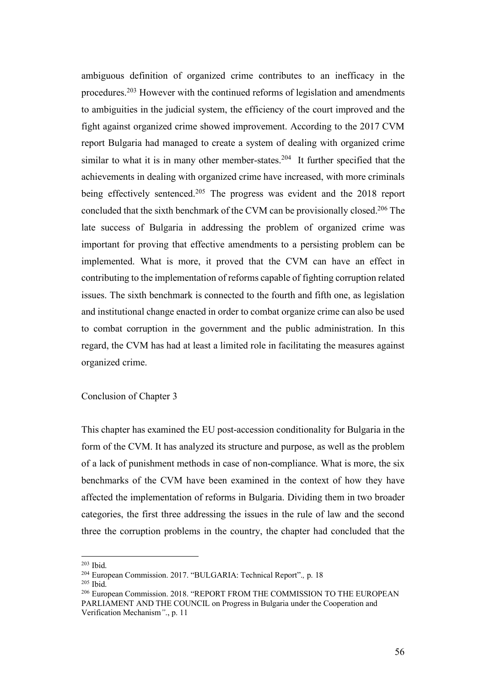ambiguous definition of organized crime contributes to an inefficacy in the procedures.203 However with the continued reforms of legislation and amendments to ambiguities in the judicial system, the efficiency of the court improved and the fight against organized crime showed improvement. According to the 2017 CVM report Bulgaria had managed to create a system of dealing with organized crime similar to what it is in many other member-states.<sup>204</sup> It further specified that the achievements in dealing with organized crime have increased, with more criminals being effectively sentenced.<sup>205</sup> The progress was evident and the 2018 report concluded that the sixth benchmark of the CVM can be provisionally closed.206 The late success of Bulgaria in addressing the problem of organized crime was important for proving that effective amendments to a persisting problem can be implemented. What is more, it proved that the CVM can have an effect in contributing to the implementation of reforms capable of fighting corruption related issues. The sixth benchmark is connected to the fourth and fifth one, as legislation and institutional change enacted in order to combat organize crime can also be used to combat corruption in the government and the public administration. In this regard, the CVM has had at least a limited role in facilitating the measures against organized crime.

Conclusion of Chapter 3

This chapter has examined the EU post-accession conditionality for Bulgaria in the form of the CVM. It has analyzed its structure and purpose, as well as the problem of a lack of punishment methods in case of non-compliance. What is more, the six benchmarks of the CVM have been examined in the context of how they have affected the implementation of reforms in Bulgaria. Dividing them in two broader categories, the first three addressing the issues in the rule of law and the second three the corruption problems in the country, the chapter had concluded that the

 $203$  Ibid.

<sup>204</sup> European Commission. 2017. "BULGARIA: Technical Report".*,* p. 18

<sup>205</sup> Ibid.

<sup>206</sup> European Commission. 2018. "REPORT FROM THE COMMISSION TO THE EUROPEAN PARLIAMENT AND THE COUNCIL on Progress in Bulgaria under the Cooperation and Verification Mechanism*"*., p. 11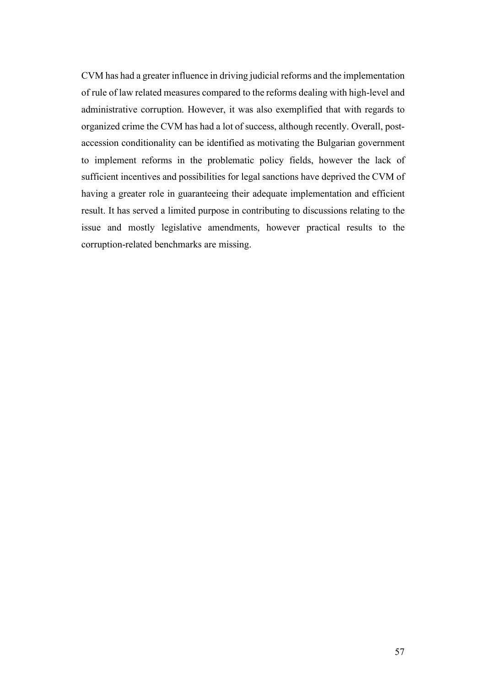CVM has had a greater influence in driving judicial reforms and the implementation of rule of law related measures compared to the reforms dealing with high-level and administrative corruption. However, it was also exemplified that with regards to organized crime the CVM has had a lot of success, although recently. Overall, postaccession conditionality can be identified as motivating the Bulgarian government to implement reforms in the problematic policy fields, however the lack of sufficient incentives and possibilities for legal sanctions have deprived the CVM of having a greater role in guaranteeing their adequate implementation and efficient result. It has served a limited purpose in contributing to discussions relating to the issue and mostly legislative amendments, however practical results to the corruption-related benchmarks are missing.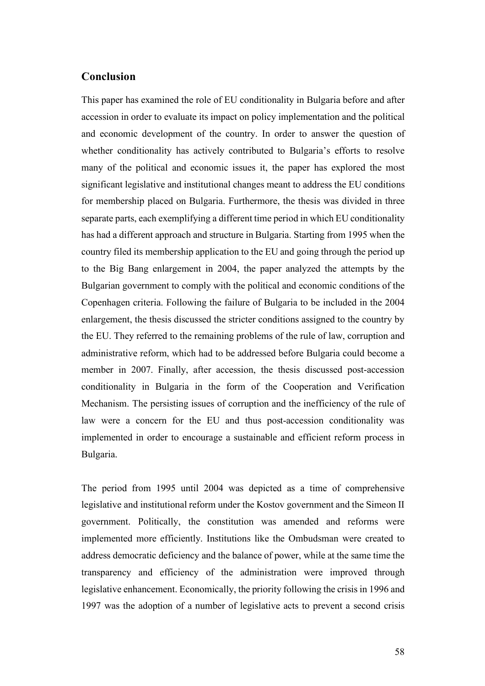## **Conclusion**

This paper has examined the role of EU conditionality in Bulgaria before and after accession in order to evaluate its impact on policy implementation and the political and economic development of the country. In order to answer the question of whether conditionality has actively contributed to Bulgaria's efforts to resolve many of the political and economic issues it, the paper has explored the most significant legislative and institutional changes meant to address the EU conditions for membership placed on Bulgaria. Furthermore, the thesis was divided in three separate parts, each exemplifying a different time period in which EU conditionality has had a different approach and structure in Bulgaria. Starting from 1995 when the country filed its membership application to the EU and going through the period up to the Big Bang enlargement in 2004, the paper analyzed the attempts by the Bulgarian government to comply with the political and economic conditions of the Copenhagen criteria. Following the failure of Bulgaria to be included in the 2004 enlargement, the thesis discussed the stricter conditions assigned to the country by the EU. They referred to the remaining problems of the rule of law, corruption and administrative reform, which had to be addressed before Bulgaria could become a member in 2007. Finally, after accession, the thesis discussed post-accession conditionality in Bulgaria in the form of the Cooperation and Verification Mechanism. The persisting issues of corruption and the inefficiency of the rule of law were a concern for the EU and thus post-accession conditionality was implemented in order to encourage a sustainable and efficient reform process in Bulgaria.

The period from 1995 until 2004 was depicted as a time of comprehensive legislative and institutional reform under the Kostov government and the Simeon II government. Politically, the constitution was amended and reforms were implemented more efficiently. Institutions like the Ombudsman were created to address democratic deficiency and the balance of power, while at the same time the transparency and efficiency of the administration were improved through legislative enhancement. Economically, the priority following the crisis in 1996 and 1997 was the adoption of a number of legislative acts to prevent a second crisis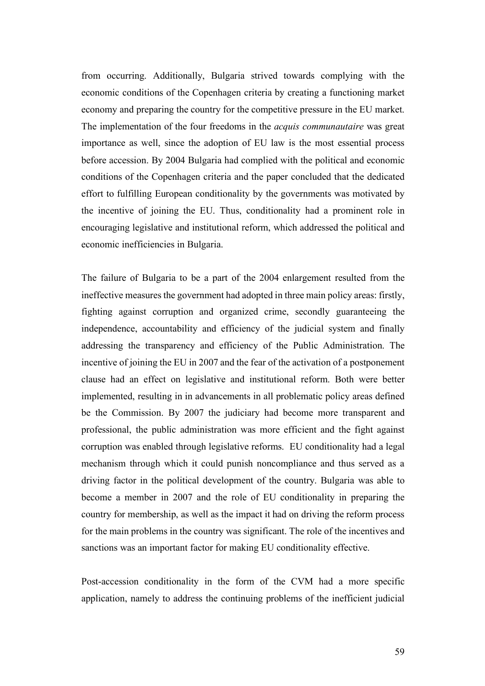from occurring. Additionally, Bulgaria strived towards complying with the economic conditions of the Copenhagen criteria by creating a functioning market economy and preparing the country for the competitive pressure in the EU market. The implementation of the four freedoms in the *acquis communautaire* was great importance as well, since the adoption of EU law is the most essential process before accession. By 2004 Bulgaria had complied with the political and economic conditions of the Copenhagen criteria and the paper concluded that the dedicated effort to fulfilling European conditionality by the governments was motivated by the incentive of joining the EU. Thus, conditionality had a prominent role in encouraging legislative and institutional reform, which addressed the political and economic inefficiencies in Bulgaria.

The failure of Bulgaria to be a part of the 2004 enlargement resulted from the ineffective measures the government had adopted in three main policy areas: firstly, fighting against corruption and organized crime, secondly guaranteeing the independence, accountability and efficiency of the judicial system and finally addressing the transparency and efficiency of the Public Administration. The incentive of joining the EU in 2007 and the fear of the activation of a postponement clause had an effect on legislative and institutional reform. Both were better implemented, resulting in in advancements in all problematic policy areas defined be the Commission. By 2007 the judiciary had become more transparent and professional, the public administration was more efficient and the fight against corruption was enabled through legislative reforms. EU conditionality had a legal mechanism through which it could punish noncompliance and thus served as a driving factor in the political development of the country. Bulgaria was able to become a member in 2007 and the role of EU conditionality in preparing the country for membership, as well as the impact it had on driving the reform process for the main problems in the country was significant. The role of the incentives and sanctions was an important factor for making EU conditionality effective.

Post-accession conditionality in the form of the CVM had a more specific application, namely to address the continuing problems of the inefficient judicial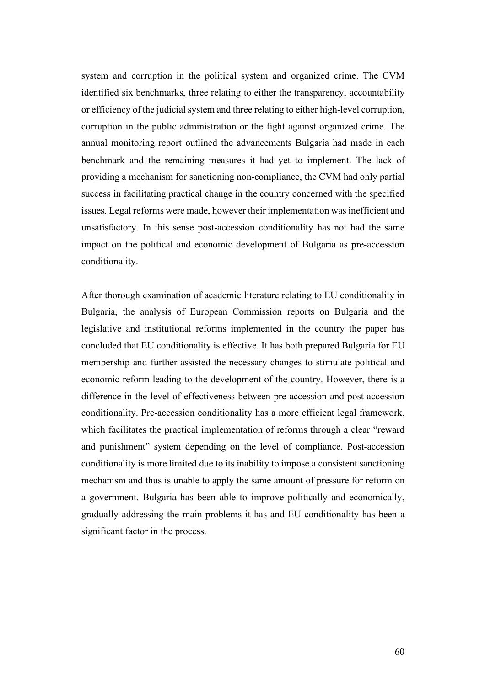system and corruption in the political system and organized crime. The CVM identified six benchmarks, three relating to either the transparency, accountability or efficiency of the judicial system and three relating to either high-level corruption, corruption in the public administration or the fight against organized crime. The annual monitoring report outlined the advancements Bulgaria had made in each benchmark and the remaining measures it had yet to implement. The lack of providing a mechanism for sanctioning non-compliance, the CVM had only partial success in facilitating practical change in the country concerned with the specified issues. Legal reforms were made, however their implementation was inefficient and unsatisfactory. In this sense post-accession conditionality has not had the same impact on the political and economic development of Bulgaria as pre-accession conditionality.

After thorough examination of academic literature relating to EU conditionality in Bulgaria, the analysis of European Commission reports on Bulgaria and the legislative and institutional reforms implemented in the country the paper has concluded that EU conditionality is effective. It has both prepared Bulgaria for EU membership and further assisted the necessary changes to stimulate political and economic reform leading to the development of the country. However, there is a difference in the level of effectiveness between pre-accession and post-accession conditionality. Pre-accession conditionality has a more efficient legal framework, which facilitates the practical implementation of reforms through a clear "reward and punishment" system depending on the level of compliance. Post-accession conditionality is more limited due to its inability to impose a consistent sanctioning mechanism and thus is unable to apply the same amount of pressure for reform on a government. Bulgaria has been able to improve politically and economically, gradually addressing the main problems it has and EU conditionality has been a significant factor in the process.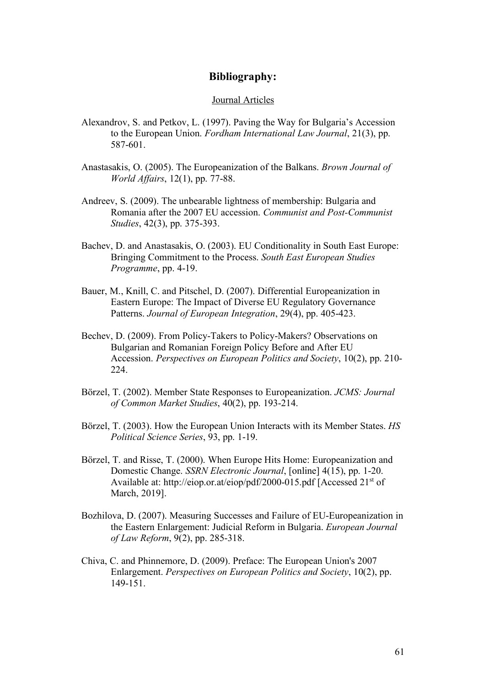## **Bibliography:**

#### Journal Articles

- Alexandrov, S. and Petkov, L. (1997). Paving the Way for Bulgaria's Accession to the European Union. *Fordham International Law Journal*, 21(3), pp. 587-601.
- Anastasakis, O. (2005). The Europeanization of the Balkans. *Brown Journal of World Affairs*, 12(1), pp. 77-88.
- Andreev, S. (2009). The unbearable lightness of membership: Bulgaria and Romania after the 2007 EU accession. *Communist and Post-Communist Studies*, 42(3), pp. 375-393.
- Bachev, D. and Anastasakis, O. (2003). EU Conditionality in South East Europe: Bringing Commitment to the Process. *South East European Studies Programme*, pp. 4-19.
- Bauer, M., Knill, C. and Pitschel, D. (2007). Differential Europeanization in Eastern Europe: The Impact of Diverse EU Regulatory Governance Patterns. *Journal of European Integration*, 29(4), pp. 405-423.
- Bechev, D. (2009). From Policy-Takers to Policy-Makers? Observations on Bulgarian and Romanian Foreign Policy Before and After EU Accession. *Perspectives on European Politics and Society*, 10(2), pp. 210- 224.
- Börzel, T. (2002). Member State Responses to Europeanization. *JCMS: Journal of Common Market Studies*, 40(2), pp. 193-214.
- Börzel, T. (2003). How the European Union Interacts with its Member States. *HS Political Science Series*, 93, pp. 1-19.
- Börzel, T. and Risse, T. (2000). When Europe Hits Home: Europeanization and Domestic Change. *SSRN Electronic Journal*, [online] 4(15), pp. 1-20. Available at: http://eiop.or.at/eiop/pdf/2000-015.pdf [Accessed 21st of March, 2019].
- Bozhilova, D. (2007). Measuring Successes and Failure of EU-Europeanization in the Eastern Enlargement: Judicial Reform in Bulgaria. *European Journal of Law Reform*, 9(2), pp. 285-318.
- Chiva, C. and Phinnemore, D. (2009). Preface: The European Union's 2007 Enlargement. *Perspectives on European Politics and Society*, 10(2), pp. 149-151.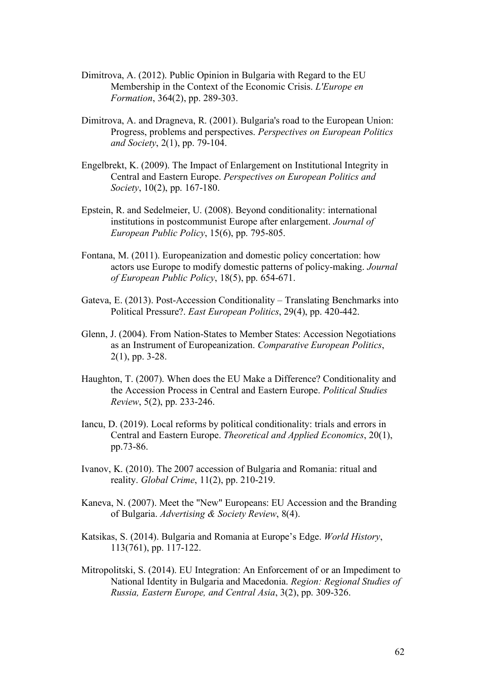- Dimitrova, A. (2012). Public Opinion in Bulgaria with Regard to the EU Membership in the Context of the Economic Crisis. *L'Europe en Formation*, 364(2), pp. 289-303.
- Dimitrova, A. and Dragneva, R. (2001). Bulgaria's road to the European Union: Progress, problems and perspectives. *Perspectives on European Politics and Society*, 2(1), pp. 79-104.
- Engelbrekt, K. (2009). The Impact of Enlargement on Institutional Integrity in Central and Eastern Europe. *Perspectives on European Politics and Society*, 10(2), pp. 167-180.
- Epstein, R. and Sedelmeier, U. (2008). Beyond conditionality: international institutions in postcommunist Europe after enlargement. *Journal of European Public Policy*, 15(6), pp. 795-805.
- Fontana, M. (2011). Europeanization and domestic policy concertation: how actors use Europe to modify domestic patterns of policy-making. *Journal of European Public Policy*, 18(5), pp. 654-671.
- Gateva, E. (2013). Post-Accession Conditionality Translating Benchmarks into Political Pressure?. *East European Politics*, 29(4), pp. 420-442.
- Glenn, J. (2004). From Nation-States to Member States: Accession Negotiations as an Instrument of Europeanization. *Comparative European Politics*, 2(1), pp. 3-28.
- Haughton, T. (2007). When does the EU Make a Difference? Conditionality and the Accession Process in Central and Eastern Europe. *Political Studies Review*, 5(2), pp. 233-246.
- Iancu, D. (2019). Local reforms by political conditionality: trials and errors in Central and Eastern Europe. *Theoretical and Applied Economics*, 20(1), pp.73-86.
- Ivanov, K. (2010). The 2007 accession of Bulgaria and Romania: ritual and reality. *Global Crime*, 11(2), pp. 210-219.
- Kaneva, N. (2007). Meet the "New" Europeans: EU Accession and the Branding of Bulgaria. *Advertising & Society Review*, 8(4).
- Katsikas, S. (2014). Bulgaria and Romania at Europe's Edge. *World History*, 113(761), pp. 117-122.
- Mitropolitski, S. (2014). EU Integration: An Enforcement of or an Impediment to National Identity in Bulgaria and Macedonia. *Region: Regional Studies of Russia, Eastern Europe, and Central Asia*, 3(2), pp. 309-326.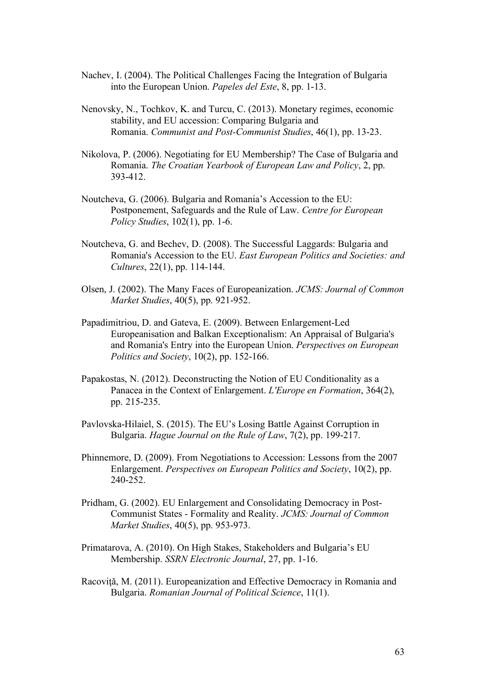- Nachev, I. (2004). The Political Challenges Facing the Integration of Bulgaria into the European Union. *Papeles del Este*, 8, pp. 1-13.
- Nenovsky, N., Tochkov, K. and Turcu, C. (2013). Monetary regimes, economic stability, and EU accession: Comparing Bulgaria and Romania. *Communist and Post-Communist Studies*, 46(1), pp. 13-23.
- Nikolova, P. (2006). Negotiating for EU Membership? The Case of Bulgaria and Romania. *The Croatian Yearbook of European Law and Policy*, 2, pp. 393-412.
- Noutcheva, G. (2006). Bulgaria and Romania's Accession to the EU: Postponement, Safeguards and the Rule of Law. *Centre for European Policy Studies*, 102(1), pp. 1-6.
- Noutcheva, G. and Bechev, D. (2008). The Successful Laggards: Bulgaria and Romania's Accession to the EU. *East European Politics and Societies: and Cultures*, 22(1), pp. 114-144.
- Olsen, J. (2002). The Many Faces of Europeanization. *JCMS: Journal of Common Market Studies*, 40(5), pp. 921-952.
- Papadimitriou, D. and Gateva, E. (2009). Between Enlargement-Led Europeanisation and Balkan Exceptionalism: An Appraisal of Bulgaria's and Romania's Entry into the European Union. *Perspectives on European Politics and Society*, 10(2), pp. 152-166.
- Papakostas, N. (2012). Deconstructing the Notion of EU Conditionality as a Panacea in the Context of Enlargement. *L'Europe en Formation*, 364(2), pp. 215-235.
- Pavlovska-Hilaiel, S. (2015). The EU's Losing Battle Against Corruption in Bulgaria. *Hague Journal on the Rule of Law*, 7(2), pp. 199-217.
- Phinnemore, D. (2009). From Negotiations to Accession: Lessons from the 2007 Enlargement. *Perspectives on European Politics and Society*, 10(2), pp. 240-252.
- Pridham, G. (2002). EU Enlargement and Consolidating Democracy in Post-Communist States - Formality and Reality. *JCMS: Journal of Common Market Studies*, 40(5), pp. 953-973.
- Primatarova, A. (2010). On High Stakes, Stakeholders and Bulgaria's EU Membership. *SSRN Electronic Journal*, 27, pp. 1-16.
- Racoviță, M. (2011). Europeanization and Effective Democracy in Romania and Bulgaria. *Romanian Journal of Political Science*, 11(1).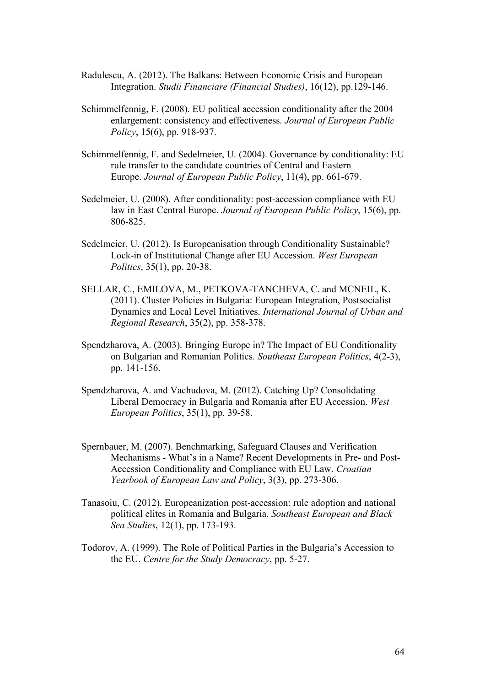- Radulescu, A. (2012). The Balkans: Between Economic Crisis and European Integration. *Studii Financiare (Financial Studies)*, 16(12), pp.129-146.
- Schimmelfennig, F. (2008). EU political accession conditionality after the 2004 enlargement: consistency and effectiveness. *Journal of European Public Policy*, 15(6), pp. 918-937.
- Schimmelfennig, F. and Sedelmeier, U. (2004). Governance by conditionality: EU rule transfer to the candidate countries of Central and Eastern Europe. *Journal of European Public Policy*, 11(4), pp. 661-679.
- Sedelmeier, U. (2008). After conditionality: post-accession compliance with EU law in East Central Europe. *Journal of European Public Policy*, 15(6), pp. 806-825.
- Sedelmeier, U. (2012). Is Europeanisation through Conditionality Sustainable? Lock-in of Institutional Change after EU Accession. *West European Politics*, 35(1), pp. 20-38.
- SELLAR, C., EMILOVA, M., PETKOVA-TANCHEVA, C. and MCNEIL, K. (2011). Cluster Policies in Bulgaria: European Integration, Postsocialist Dynamics and Local Level Initiatives. *International Journal of Urban and Regional Research*, 35(2), pp. 358-378.
- Spendzharova, A. (2003). Bringing Europe in? The Impact of EU Conditionality on Bulgarian and Romanian Politics. *Southeast European Politics*, 4(2-3), pp. 141-156.
- Spendzharova, A. and Vachudova, M. (2012). Catching Up? Consolidating Liberal Democracy in Bulgaria and Romania after EU Accession. *West European Politics*, 35(1), pp. 39-58.
- Spernbauer, M. (2007). Benchmarking, Safeguard Clauses and Verification Mechanisms - What's in a Name? Recent Developments in Pre- and Post-Accession Conditionality and Compliance with EU Law. *Croatian Yearbook of European Law and Policy*, 3(3), pp. 273-306.
- Tanasoiu, C. (2012). Europeanization post-accession: rule adoption and national political elites in Romania and Bulgaria. *Southeast European and Black Sea Studies*, 12(1), pp. 173-193.
- Todorov, A. (1999). The Role of Political Parties in the Bulgaria's Accession to the EU. *Centre for the Study Democracy*, pp. 5-27.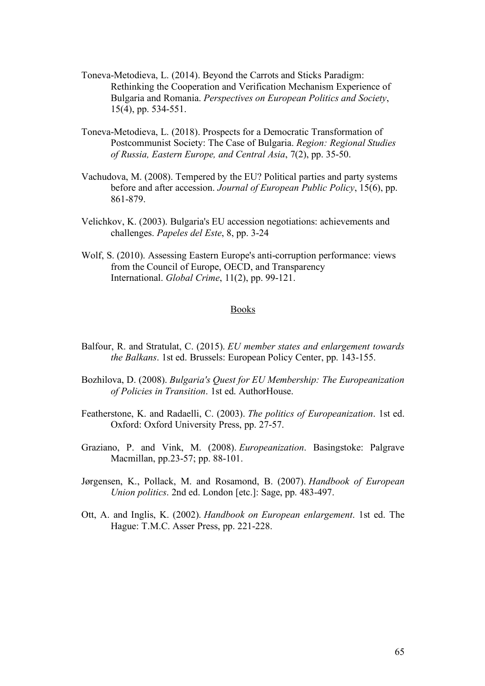- Toneva-Metodieva, L. (2014). Beyond the Carrots and Sticks Paradigm: Rethinking the Cooperation and Verification Mechanism Experience of Bulgaria and Romania. *Perspectives on European Politics and Society*, 15(4), pp. 534-551.
- Toneva-Metodieva, L. (2018). Prospects for a Democratic Transformation of Postcommunist Society: The Case of Bulgaria. *Region: Regional Studies of Russia, Eastern Europe, and Central Asia*, 7(2), pp. 35-50.
- Vachudova, M. (2008). Tempered by the EU? Political parties and party systems before and after accession. *Journal of European Public Policy*, 15(6), pp. 861-879.
- Velichkov, K. (2003). Bulgaria's EU accession negotiations: achievements and challenges. *Papeles del Este*, 8, pp. 3-24
- Wolf, S. (2010). Assessing Eastern Europe's anti-corruption performance: views from the Council of Europe, OECD, and Transparency International. *Global Crime*, 11(2), pp. 99-121.

### Books

- Balfour, R. and Stratulat, C. (2015). *EU member states and enlargement towards the Balkans*. 1st ed. Brussels: European Policy Center, pp. 143-155.
- Bozhilova, D. (2008). *Bulgaria's Quest for EU Membership: The Europeanization of Policies in Transition*. 1st ed. AuthorHouse.
- Featherstone, K. and Radaelli, C. (2003). *The politics of Europeanization*. 1st ed. Oxford: Oxford University Press, pp. 27-57.
- Graziano, P. and Vink, M. (2008). *Europeanization*. Basingstoke: Palgrave Macmillan, pp.23-57; pp. 88-101.
- Jørgensen, K., Pollack, M. and Rosamond, B. (2007). *Handbook of European Union politics*. 2nd ed. London [etc.]: Sage, pp. 483-497.
- Ott, A. and Inglis, K. (2002). *Handbook on European enlargement*. 1st ed. The Hague: T.M.C. Asser Press, pp. 221-228.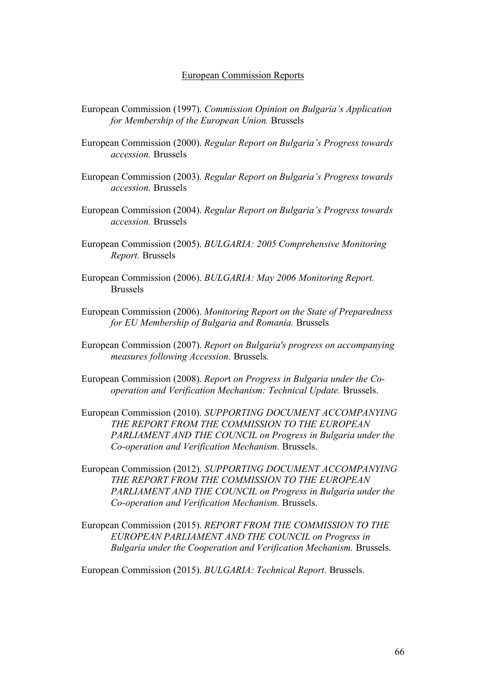#### European Commission Reports

- European Commission (1997). *Commission Opinion on Bulgaria's Application for Membership of the European Union.* Brussels
- European Commission (2000). *Regular Report on Bulgaria's Progress towards accession.* Brussels
- European Commission (2003). *Regular Report on Bulgaria's Progress towards accession.* Brussels
- European Commission (2004). *Regular Report on Bulgaria's Progress towards accession.* Brussels
- European Commission (2005). *BULGARIA: 2005 Comprehensive Monitoring Report.* Brussels
- European Commission (2006). *BULGARIA: May 2006 Monitoring Report.*  Brussels
- European Commission (2006). *Monitoring Report on the State of Preparedness for EU Membership of Bulgaria and Romania.* Brussels
- European Commission (2007). *Report on Bulgaria's progress on accompanying measures following Accession.* Brussels.
- European Commission (2008). *Repor*t *on Progress in Bulgaria under the Cooperation and Verification Mechanism: Technical Update.* Brussels.
- European Commission (2010). *SUPPORTING DOCUMENT ACCOMPANYING THE REPORT FROM THE COMMISSION TO THE EUROPEAN PARLIAMENT AND THE COUNCIL on Progress in Bulgaria under the Co-operation and Verification Mechanism.* Brussels.
- European Commission (2012). *SUPPORTING DOCUMENT ACCOMPANYING THE REPORT FROM THE COMMISSION TO THE EUROPEAN PARLIAMENT AND THE COUNCIL on Progress in Bulgaria under the Co-operation and Verification Mechanism.* Brussels.
- European Commission (2015). *REPORT FROM THE COMMISSION TO THE EUROPEAN PARLIAMENT AND THE COUNCIL on Progress in Bulgaria under the Cooperation and Verification Mechanism.* Brussels.

European Commission (2015). *BULGARIA: Technical Report*. Brussels.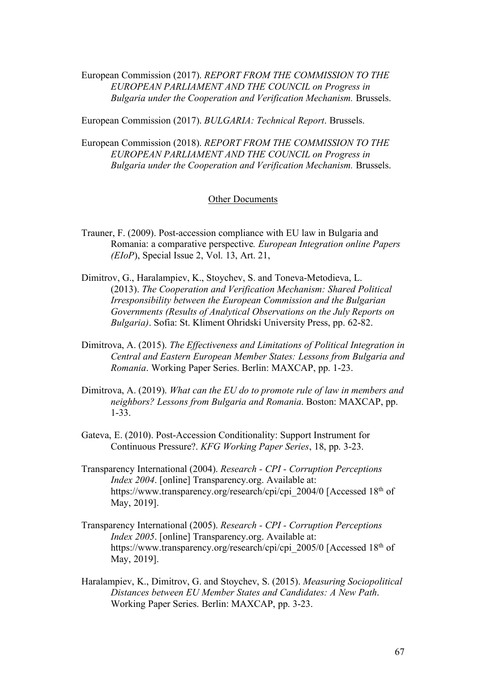European Commission (2017). *REPORT FROM THE COMMISSION TO THE EUROPEAN PARLIAMENT AND THE COUNCIL on Progress in Bulgaria under the Cooperation and Verification Mechanism.* Brussels.

European Commission (2017). *BULGARIA: Technical Report*. Brussels.

European Commission (2018). *REPORT FROM THE COMMISSION TO THE EUROPEAN PARLIAMENT AND THE COUNCIL on Progress in Bulgaria under the Cooperation and Verification Mechanism.* Brussels.

#### Other Documents

- Trauner, F. (2009). Post-accession compliance with EU law in Bulgaria and Romania: a comparative perspective*. European Integration online Papers (EIoP*), Special Issue 2, Vol. 13, Art. 21,
- Dimitrov, G., Haralampiev, K., Stoychev, S. and Toneva-Metodieva, L. (2013). *The Cooperation and Verification Mechanism: Shared Political Irresponsibility between the European Commission and the Bulgarian Governments (Results of Analytical Observations on the July Reports on Bulgaria)*. Sofia: St. Kliment Ohridski University Press, pp. 62-82.
- Dimitrova, A. (2015). *The Effectiveness and Limitations of Political Integration in Central and Eastern European Member States: Lessons from Bulgaria and Romania*. Working Paper Series. Berlin: MAXCAP, pp. 1-23.
- Dimitrova, A. (2019). *What can the EU do to promote rule of law in members and neighbors? Lessons from Bulgaria and Romania*. Boston: MAXCAP, pp. 1-33.
- Gateva, E. (2010). Post-Accession Conditionality: Support Instrument for Continuous Pressure?. *KFG Working Paper Series*, 18, pp. 3-23.
- Transparency International (2004). *Research - CPI - Corruption Perceptions Index 2004*. [online] Transparency.org. Available at: https://www.transparency.org/research/cpi/cpi\_2004/0 [Accessed 18<sup>th</sup> of May, 2019].
- Transparency International (2005). *Research - CPI - Corruption Perceptions Index 2005*. [online] Transparency.org. Available at: https://www.transparency.org/research/cpi/cpi\_2005/0 [Accessed 18<sup>th</sup> of May, 2019].
- Haralampiev, K., Dimitrov, G. and Stoychev, S. (2015). *Measuring Sociopolitical Distances between EU Member States and Candidates: A New Path*. Working Paper Series. Berlin: MAXCAP, pp. 3-23.